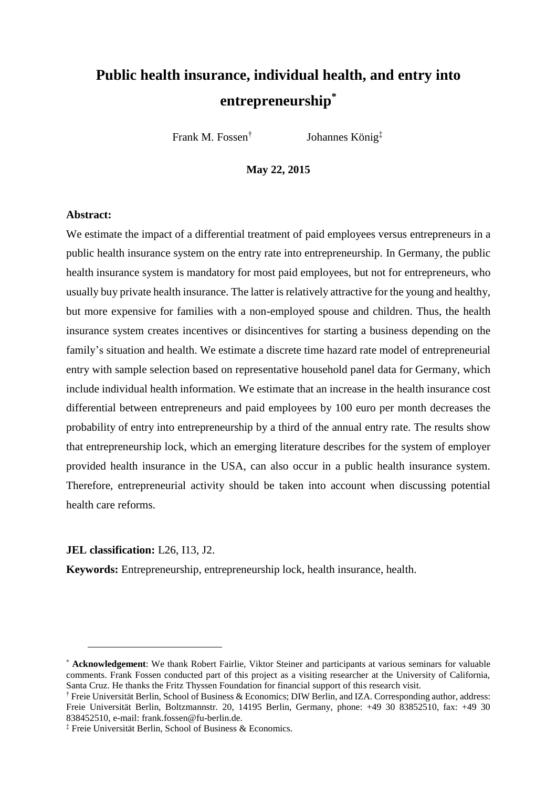# **Public health insurance, individual health, and entry into entrepreneurship\***

Frank M. Fossen†

Johannes König‡

**May 22, 2015**

### **Abstract:**

We estimate the impact of a differential treatment of paid employees versus entrepreneurs in a public health insurance system on the entry rate into entrepreneurship. In Germany, the public health insurance system is mandatory for most paid employees, but not for entrepreneurs, who usually buy private health insurance. The latter is relatively attractive for the young and healthy, but more expensive for families with a non-employed spouse and children. Thus, the health insurance system creates incentives or disincentives for starting a business depending on the family's situation and health. We estimate a discrete time hazard rate model of entrepreneurial entry with sample selection based on representative household panel data for Germany, which include individual health information. We estimate that an increase in the health insurance cost differential between entrepreneurs and paid employees by 100 euro per month decreases the probability of entry into entrepreneurship by a third of the annual entry rate. The results show that entrepreneurship lock, which an emerging literature describes for the system of employer provided health insurance in the USA, can also occur in a public health insurance system. Therefore, entrepreneurial activity should be taken into account when discussing potential health care reforms.

### **JEL classification:** L26, I13, J2.

 $\overline{a}$ 

**Keywords:** Entrepreneurship, entrepreneurship lock, health insurance, health.

<sup>\*</sup> **Acknowledgement**: We thank Robert Fairlie, Viktor Steiner and participants at various seminars for valuable comments. Frank Fossen conducted part of this project as a visiting researcher at the University of California, Santa Cruz. He thanks the Fritz Thyssen Foundation for financial support of this research visit.

<sup>†</sup> Freie Universität Berlin, School of Business & Economics; DIW Berlin, and IZA. Corresponding author, address: Freie Universität Berlin, Boltzmannstr. 20, 14195 Berlin, Germany, phone: +49 30 83852510, fax: +49 30 838452510, e-mail: frank.fossen@fu-berlin.de.

<sup>‡</sup> Freie Universität Berlin, School of Business & Economics.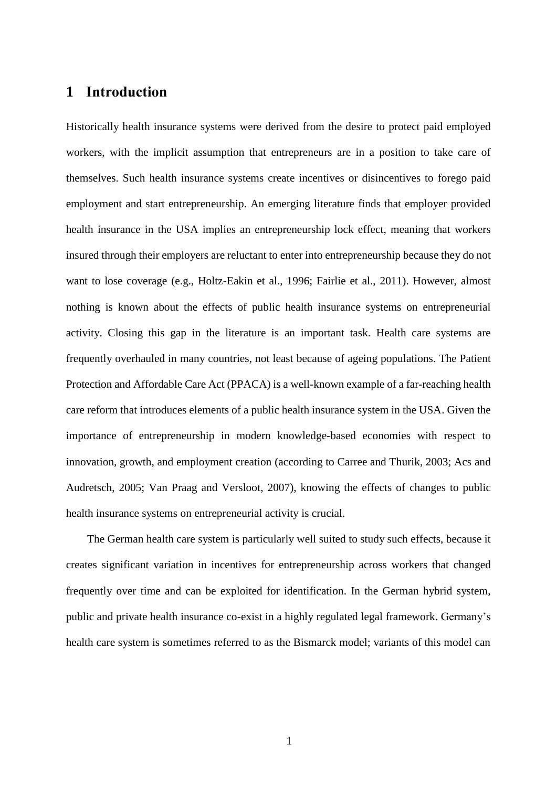## **1 Introduction**

Historically health insurance systems were derived from the desire to protect paid employed workers, with the implicit assumption that entrepreneurs are in a position to take care of themselves. Such health insurance systems create incentives or disincentives to forego paid employment and start entrepreneurship. An emerging literature finds that employer provided health insurance in the USA implies an entrepreneurship lock effect, meaning that workers insured through their employers are reluctant to enter into entrepreneurship because they do not want to lose coverage (e.g., Holtz-Eakin et al., 1996; Fairlie et al., 2011). However, almost nothing is known about the effects of public health insurance systems on entrepreneurial activity. Closing this gap in the literature is an important task. Health care systems are frequently overhauled in many countries, not least because of ageing populations. The Patient Protection and Affordable Care Act (PPACA) is a well-known example of a far-reaching health care reform that introduces elements of a public health insurance system in the USA. Given the importance of entrepreneurship in modern knowledge-based economies with respect to innovation, growth, and employment creation (according to Carree and Thurik, 2003; Acs and Audretsch, 2005; Van Praag and Versloot, 2007), knowing the effects of changes to public health insurance systems on entrepreneurial activity is crucial.

The German health care system is particularly well suited to study such effects, because it creates significant variation in incentives for entrepreneurship across workers that changed frequently over time and can be exploited for identification. In the German hybrid system, public and private health insurance co-exist in a highly regulated legal framework. Germany's health care system is sometimes referred to as the Bismarck model; variants of this model can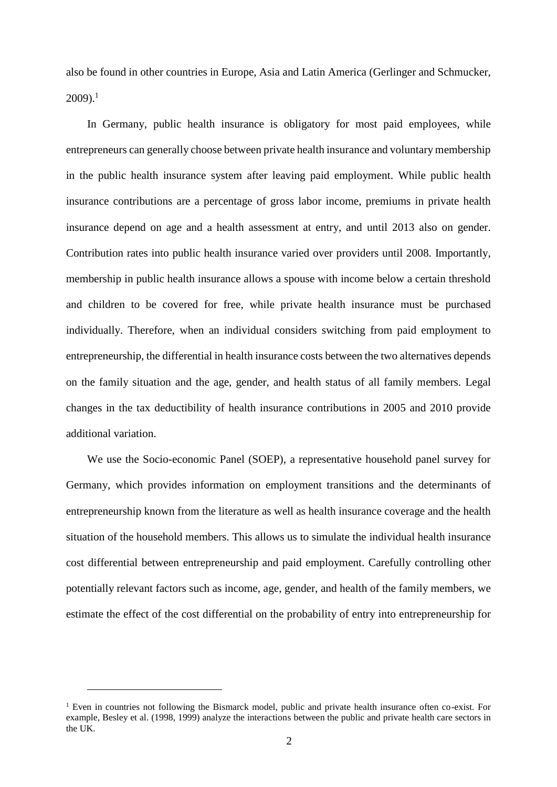also be found in other countries in Europe, Asia and Latin America (Gerlinger and Schmucker,  $2009$ ).<sup>1</sup>

In Germany, public health insurance is obligatory for most paid employees, while entrepreneurs can generally choose between private health insurance and voluntary membership in the public health insurance system after leaving paid employment. While public health insurance contributions are a percentage of gross labor income, premiums in private health insurance depend on age and a health assessment at entry, and until 2013 also on gender. Contribution rates into public health insurance varied over providers until 2008. Importantly, membership in public health insurance allows a spouse with income below a certain threshold and children to be covered for free, while private health insurance must be purchased individually. Therefore, when an individual considers switching from paid employment to entrepreneurship, the differential in health insurance costs between the two alternatives depends on the family situation and the age, gender, and health status of all family members. Legal changes in the tax deductibility of health insurance contributions in 2005 and 2010 provide additional variation.

We use the Socio-economic Panel (SOEP), a representative household panel survey for Germany, which provides information on employment transitions and the determinants of entrepreneurship known from the literature as well as health insurance coverage and the health situation of the household members. This allows us to simulate the individual health insurance cost differential between entrepreneurship and paid employment. Carefully controlling other potentially relevant factors such as income, age, gender, and health of the family members, we estimate the effect of the cost differential on the probability of entry into entrepreneurship for

<sup>1</sup> Even in countries not following the Bismarck model, public and private health insurance often co-exist. For example, Besley et al. (1998, 1999) analyze the interactions between the public and private health care sectors in the UK.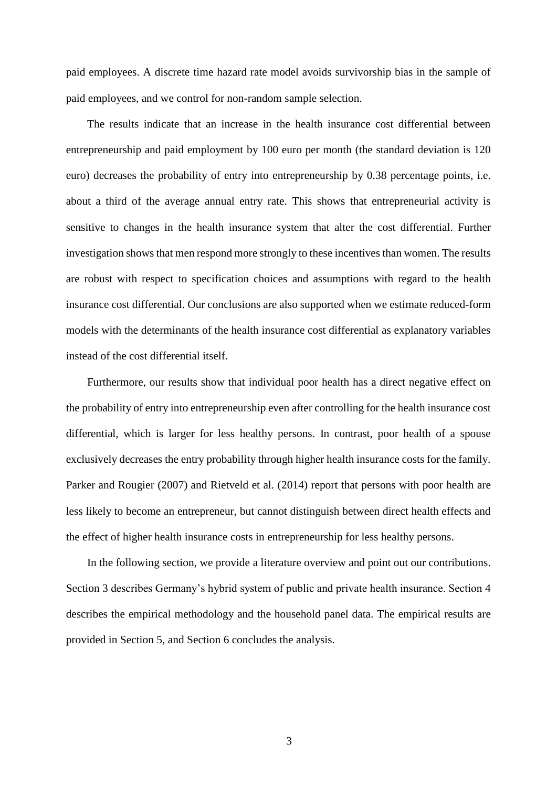paid employees. A discrete time hazard rate model avoids survivorship bias in the sample of paid employees, and we control for non-random sample selection.

The results indicate that an increase in the health insurance cost differential between entrepreneurship and paid employment by 100 euro per month (the standard deviation is 120 euro) decreases the probability of entry into entrepreneurship by 0.38 percentage points, i.e. about a third of the average annual entry rate. This shows that entrepreneurial activity is sensitive to changes in the health insurance system that alter the cost differential. Further investigation shows that men respond more strongly to these incentives than women. The results are robust with respect to specification choices and assumptions with regard to the health insurance cost differential. Our conclusions are also supported when we estimate reduced-form models with the determinants of the health insurance cost differential as explanatory variables instead of the cost differential itself.

Furthermore, our results show that individual poor health has a direct negative effect on the probability of entry into entrepreneurship even after controlling for the health insurance cost differential, which is larger for less healthy persons. In contrast, poor health of a spouse exclusively decreases the entry probability through higher health insurance costs for the family. Parker and Rougier (2007) and Rietveld et al. (2014) report that persons with poor health are less likely to become an entrepreneur, but cannot distinguish between direct health effects and the effect of higher health insurance costs in entrepreneurship for less healthy persons.

In the following section, we provide a literature overview and point out our contributions. Section 3 describes Germany's hybrid system of public and private health insurance. Section 4 describes the empirical methodology and the household panel data. The empirical results are provided in Section 5, and Section 6 concludes the analysis.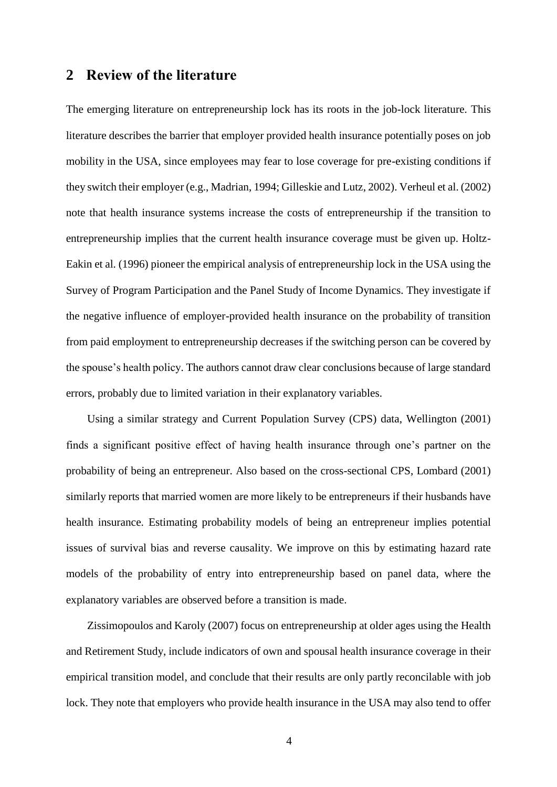### **2 Review of the literature**

The emerging literature on entrepreneurship lock has its roots in the job-lock literature. This literature describes the barrier that employer provided health insurance potentially poses on job mobility in the USA, since employees may fear to lose coverage for pre-existing conditions if they switch their employer (e.g., Madrian, 1994; Gilleskie and Lutz, 2002). Verheul et al. (2002) note that health insurance systems increase the costs of entrepreneurship if the transition to entrepreneurship implies that the current health insurance coverage must be given up. Holtz-Eakin et al. (1996) pioneer the empirical analysis of entrepreneurship lock in the USA using the Survey of Program Participation and the Panel Study of Income Dynamics. They investigate if the negative influence of employer-provided health insurance on the probability of transition from paid employment to entrepreneurship decreases if the switching person can be covered by the spouse's health policy. The authors cannot draw clear conclusions because of large standard errors, probably due to limited variation in their explanatory variables.

Using a similar strategy and Current Population Survey (CPS) data, Wellington (2001) finds a significant positive effect of having health insurance through one's partner on the probability of being an entrepreneur. Also based on the cross-sectional CPS, Lombard (2001) similarly reports that married women are more likely to be entrepreneurs if their husbands have health insurance. Estimating probability models of being an entrepreneur implies potential issues of survival bias and reverse causality. We improve on this by estimating hazard rate models of the probability of entry into entrepreneurship based on panel data, where the explanatory variables are observed before a transition is made.

Zissimopoulos and Karoly (2007) focus on entrepreneurship at older ages using the Health and Retirement Study, include indicators of own and spousal health insurance coverage in their empirical transition model, and conclude that their results are only partly reconcilable with job lock. They note that employers who provide health insurance in the USA may also tend to offer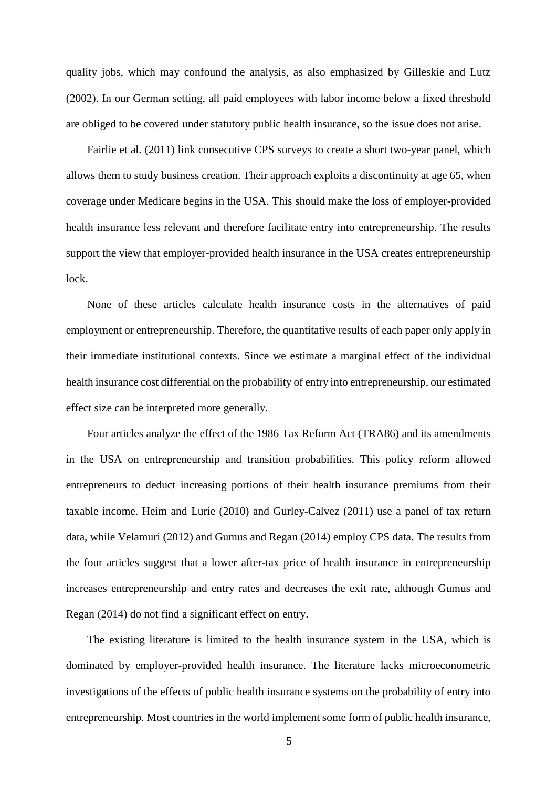quality jobs, which may confound the analysis, as also emphasized by Gilleskie and Lutz (2002). In our German setting, all paid employees with labor income below a fixed threshold are obliged to be covered under statutory public health insurance, so the issue does not arise.

Fairlie et al. (2011) link consecutive CPS surveys to create a short two-year panel, which allows them to study business creation. Their approach exploits a discontinuity at age 65, when coverage under Medicare begins in the USA. This should make the loss of employer-provided health insurance less relevant and therefore facilitate entry into entrepreneurship. The results support the view that employer-provided health insurance in the USA creates entrepreneurship lock.

None of these articles calculate health insurance costs in the alternatives of paid employment or entrepreneurship. Therefore, the quantitative results of each paper only apply in their immediate institutional contexts. Since we estimate a marginal effect of the individual health insurance cost differential on the probability of entry into entrepreneurship, our estimated effect size can be interpreted more generally.

Four articles analyze the effect of the 1986 Tax Reform Act (TRA86) and its amendments in the USA on entrepreneurship and transition probabilities. This policy reform allowed entrepreneurs to deduct increasing portions of their health insurance premiums from their taxable income. Heim and Lurie (2010) and Gurley-Calvez (2011) use a panel of tax return data, while Velamuri (2012) and Gumus and Regan (2014) employ CPS data. The results from the four articles suggest that a lower after-tax price of health insurance in entrepreneurship increases entrepreneurship and entry rates and decreases the exit rate, although Gumus and Regan (2014) do not find a significant effect on entry.

The existing literature is limited to the health insurance system in the USA, which is dominated by employer-provided health insurance. The literature lacks microeconometric investigations of the effects of public health insurance systems on the probability of entry into entrepreneurship. Most countries in the world implement some form of public health insurance,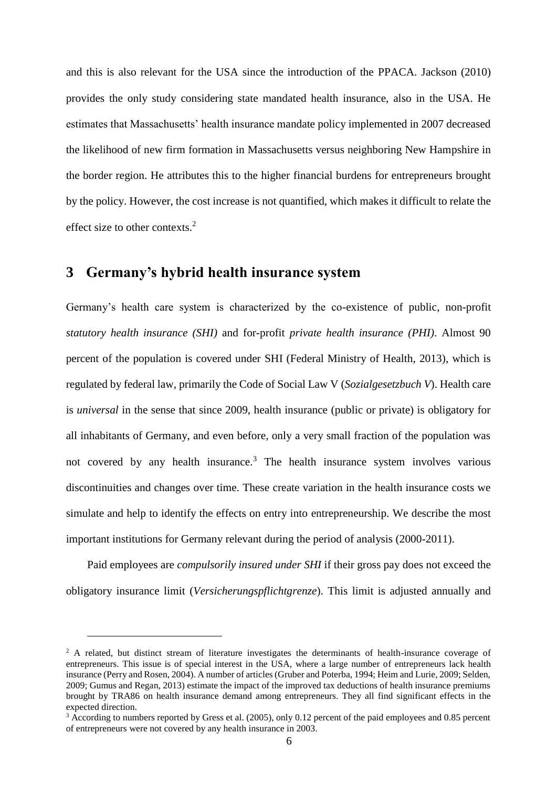and this is also relevant for the USA since the introduction of the PPACA. Jackson (2010) provides the only study considering state mandated health insurance, also in the USA. He estimates that Massachusetts' health insurance mandate policy implemented in 2007 decreased the likelihood of new firm formation in Massachusetts versus neighboring New Hampshire in the border region. He attributes this to the higher financial burdens for entrepreneurs brought by the policy. However, the cost increase is not quantified, which makes it difficult to relate the effect size to other contexts.<sup>2</sup>

## **3 Germany's hybrid health insurance system**

 $\overline{a}$ 

Germany's health care system is characterized by the co-existence of public, non-profit *statutory health insurance (SHI)* and for-profit *private health insurance (PHI)*. Almost 90 percent of the population is covered under SHI (Federal Ministry of Health, 2013), which is regulated by federal law, primarily the Code of Social Law V (*Sozialgesetzbuch V*). Health care is *universal* in the sense that since 2009, health insurance (public or private) is obligatory for all inhabitants of Germany, and even before, only a very small fraction of the population was not covered by any health insurance.<sup>3</sup> The health insurance system involves various discontinuities and changes over time. These create variation in the health insurance costs we simulate and help to identify the effects on entry into entrepreneurship. We describe the most important institutions for Germany relevant during the period of analysis (2000-2011).

Paid employees are *compulsorily insured under SHI* if their gross pay does not exceed the obligatory insurance limit (*Versicherungspflichtgrenze*). This limit is adjusted annually and

<sup>&</sup>lt;sup>2</sup> A related, but distinct stream of literature investigates the determinants of health-insurance coverage of entrepreneurs. This issue is of special interest in the USA, where a large number of entrepreneurs lack health insurance (Perry and Rosen, 2004). A number of articles (Gruber and Poterba, 1994; Heim and Lurie, 2009; Selden, 2009; Gumus and Regan, 2013) estimate the impact of the improved tax deductions of health insurance premiums brought by TRA86 on health insurance demand among entrepreneurs. They all find significant effects in the expected direction.

<sup>&</sup>lt;sup>3</sup> According to numbers reported by Gress et al. (2005), only 0.12 percent of the paid employees and 0.85 percent of entrepreneurs were not covered by any health insurance in 2003.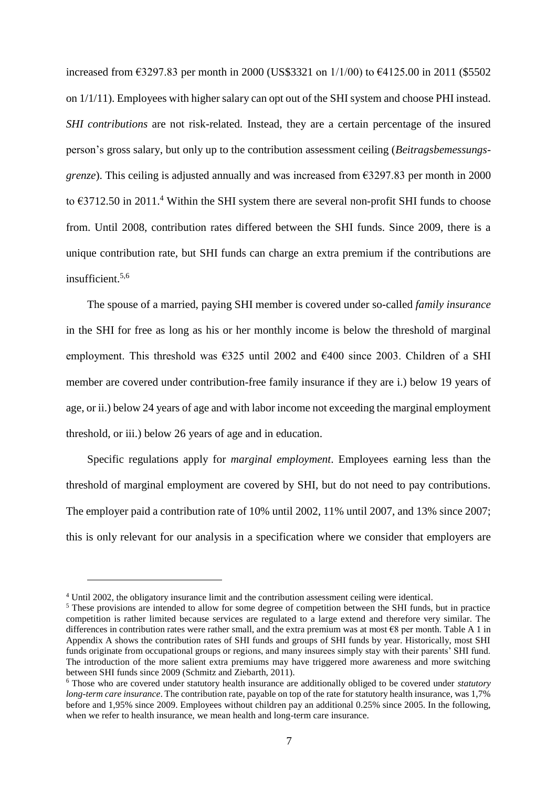increased from €3297.83 per month in 2000 (US\$3321 on 1/1/00) to €4125.00 in 2011 (\$5502 on 1/1/11). Employees with higher salary can opt out of the SHIsystem and choose PHI instead. *SHI contributions* are not risk-related. Instead, they are a certain percentage of the insured person's gross salary, but only up to the contribution assessment ceiling (*Beitragsbemessungsgrenze*). This ceiling is adjusted annually and was increased from  $\epsilon$ 3297.83 per month in 2000 to  $\epsilon$ 3712.50 in 2011.<sup>4</sup> Within the SHI system there are several non-profit SHI funds to choose from. Until 2008, contribution rates differed between the SHI funds. Since 2009, there is a unique contribution rate, but SHI funds can charge an extra premium if the contributions are insufficient. 5,6

The spouse of a married, paying SHI member is covered under so-called *family insurance* in the SHI for free as long as his or her monthly income is below the threshold of marginal employment. This threshold was  $\epsilon$ 325 until 2002 and  $\epsilon$ 400 since 2003. Children of a SHI member are covered under contribution-free family insurance if they are i.) below 19 years of age, or ii.) below 24 years of age and with labor income not exceeding the marginal employment threshold, or iii.) below 26 years of age and in education.

Specific regulations apply for *marginal employment*. Employees earning less than the threshold of marginal employment are covered by SHI, but do not need to pay contributions. The employer paid a contribution rate of 10% until 2002, 11% until 2007, and 13% since 2007; this is only relevant for our analysis in a specification where we consider that employers are

<sup>4</sup> Until 2002, the obligatory insurance limit and the contribution assessment ceiling were identical.

<sup>&</sup>lt;sup>5</sup> These provisions are intended to allow for some degree of competition between the SHI funds, but in practice competition is rather limited because services are regulated to a large extend and therefore very similar. The differences in contribution rates were rather small, and the extra premium was at most  $\epsilon$ 8 per month. Table A 1 in Appendix A shows the contribution rates of SHI funds and groups of SHI funds by year. Historically, most SHI funds originate from occupational groups or regions, and many insurees simply stay with their parents' SHI fund. The introduction of the more salient extra premiums may have triggered more awareness and more switching between SHI funds since 2009 (Schmitz and Ziebarth, 2011).

<sup>6</sup> Those who are covered under statutory health insurance are additionally obliged to be covered under *statutory long-term care insurance*. The contribution rate, payable on top of the rate for statutory health insurance, was 1,7% before and 1,95% since 2009. Employees without children pay an additional 0.25% since 2005. In the following, when we refer to health insurance, we mean health and long-term care insurance.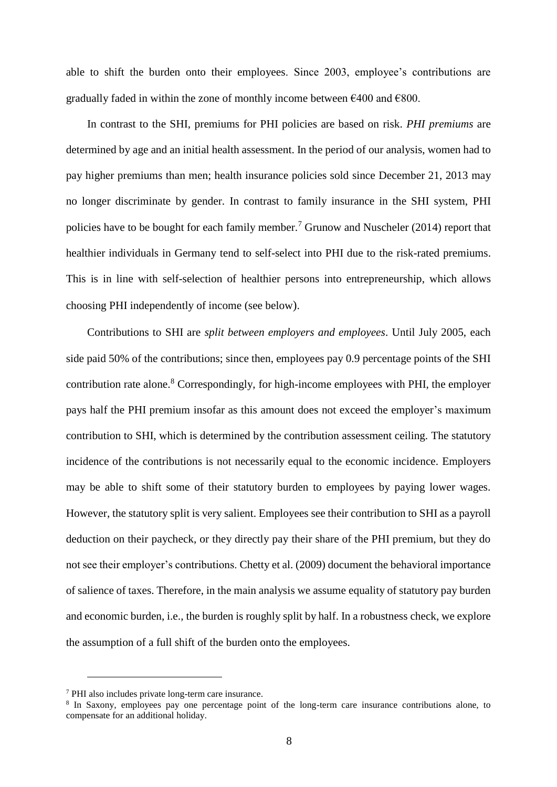able to shift the burden onto their employees. Since 2003, employee's contributions are gradually faded in within the zone of monthly income between  $\epsilon$ 400 and  $\epsilon$ 800.

In contrast to the SHI, premiums for PHI policies are based on risk. *PHI premiums* are determined by age and an initial health assessment. In the period of our analysis, women had to pay higher premiums than men; health insurance policies sold since December 21, 2013 may no longer discriminate by gender. In contrast to family insurance in the SHI system, PHI policies have to be bought for each family member.<sup>7</sup> Grunow and Nuscheler (2014) report that healthier individuals in Germany tend to self-select into PHI due to the risk-rated premiums. This is in line with self-selection of healthier persons into entrepreneurship, which allows choosing PHI independently of income (see below).

Contributions to SHI are *split between employers and employees*. Until July 2005, each side paid 50% of the contributions; since then, employees pay 0.9 percentage points of the SHI contribution rate alone.<sup>8</sup> Correspondingly, for high-income employees with PHI, the employer pays half the PHI premium insofar as this amount does not exceed the employer's maximum contribution to SHI, which is determined by the contribution assessment ceiling. The statutory incidence of the contributions is not necessarily equal to the economic incidence. Employers may be able to shift some of their statutory burden to employees by paying lower wages. However, the statutory split is very salient. Employees see their contribution to SHI as a payroll deduction on their paycheck, or they directly pay their share of the PHI premium, but they do not see their employer's contributions. Chetty et al. (2009) document the behavioral importance of salience of taxes. Therefore, in the main analysis we assume equality of statutory pay burden and economic burden, i.e., the burden is roughly split by half. In a robustness check, we explore the assumption of a full shift of the burden onto the employees.

<sup>7</sup> PHI also includes private long-term care insurance.

<sup>8</sup> In Saxony, employees pay one percentage point of the long-term care insurance contributions alone, to compensate for an additional holiday.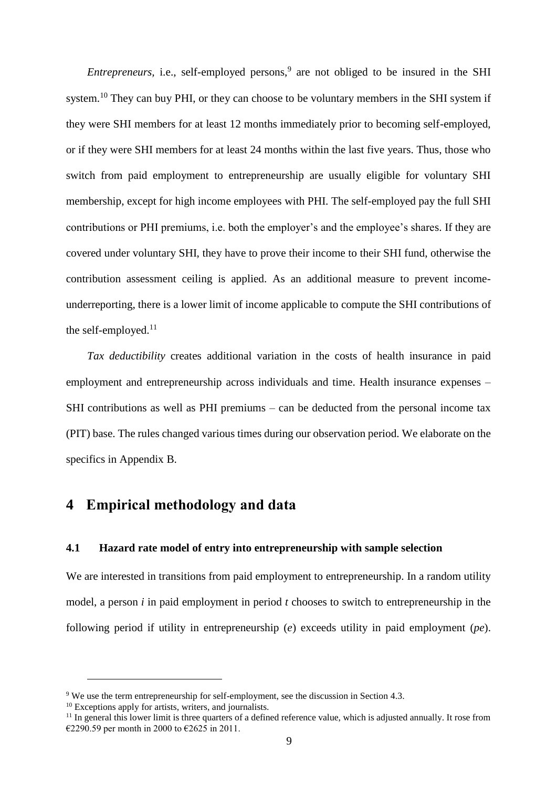*Entrepreneurs,* i.e., self-employed persons,<sup>9</sup> are not obliged to be insured in the SHI system.<sup>10</sup> They can buy PHI, or they can choose to be voluntary members in the SHI system if they were SHI members for at least 12 months immediately prior to becoming self-employed, or if they were SHI members for at least 24 months within the last five years. Thus, those who switch from paid employment to entrepreneurship are usually eligible for voluntary SHI membership, except for high income employees with PHI. The self-employed pay the full SHI contributions or PHI premiums, i.e. both the employer's and the employee's shares. If they are covered under voluntary SHI, they have to prove their income to their SHI fund, otherwise the contribution assessment ceiling is applied. As an additional measure to prevent incomeunderreporting, there is a lower limit of income applicable to compute the SHI contributions of the self-employed.<sup>11</sup>

*Tax deductibility* creates additional variation in the costs of health insurance in paid employment and entrepreneurship across individuals and time. Health insurance expenses – SHI contributions as well as PHI premiums – can be deducted from the personal income tax (PIT) base. The rules changed various times during our observation period. We elaborate on the specifics in Appendix B.

## **4 Empirical methodology and data**

### **4.1 Hazard rate model of entry into entrepreneurship with sample selection**

We are interested in transitions from paid employment to entrepreneurship. In a random utility model, a person *i* in paid employment in period *t* chooses to switch to entrepreneurship in the following period if utility in entrepreneurship (*e*) exceeds utility in paid employment (*pe*).

<sup>&</sup>lt;sup>9</sup> We use the term entrepreneurship for self-employment, see the discussion in Section 4.3.

<sup>&</sup>lt;sup>10</sup> Exceptions apply for artists, writers, and journalists.

<sup>&</sup>lt;sup>11</sup> In general this lower limit is three quarters of a defined reference value, which is adjusted annually. It rose from €2290.59 per month in 2000 to €2625 in 2011.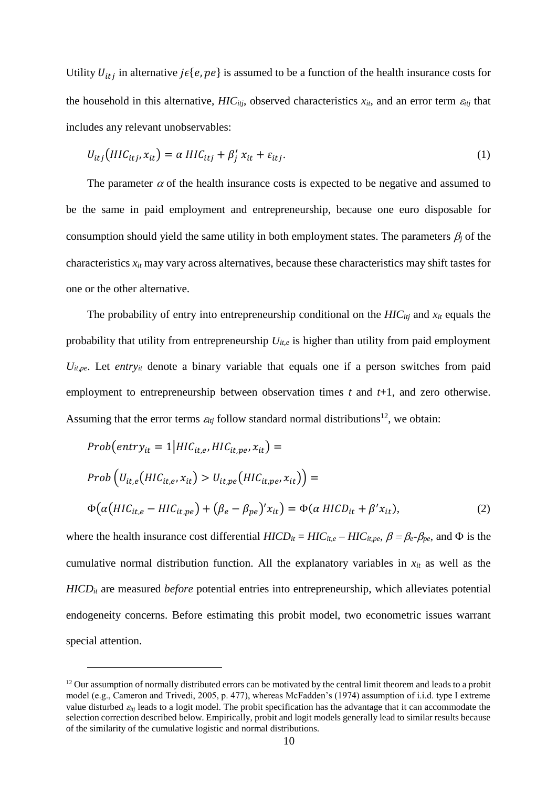Utility  $U_{itj}$  in alternative  $j \in \{e, pe\}$  is assumed to be a function of the health insurance costs for the household in this alternative,  $HIC_{itj}$ , observed characteristics  $x_{it}$ , and an error term  $\varepsilon_{itj}$  that includes any relevant unobservables:

$$
U_{itj}(HIC_{itj}, x_{it}) = \alpha \, HIC_{itj} + \beta'_j \, x_{it} + \varepsilon_{itj}.\tag{1}
$$

The parameter  $\alpha$  of the health insurance costs is expected to be negative and assumed to be the same in paid employment and entrepreneurship, because one euro disposable for consumption should yield the same utility in both employment states. The parameters  $\beta_i$  of the characteristics  $x_i$  may vary across alternatives, because these characteristics may shift tastes for one or the other alternative.

The probability of entry into entrepreneurship conditional on the *HICitj* and *xit* equals the probability that utility from entrepreneurship *Uit,e* is higher than utility from paid employment  $U_{it,pe}$ . Let *entry<sub>it</sub>* denote a binary variable that equals one if a person switches from paid employment to entrepreneurship between observation times *t* and *t*+1, and zero otherwise. Assuming that the error terms  $\varepsilon_{ij}$  follow standard normal distributions<sup>12</sup>, we obtain:

$$
Prob(entry_{it} = 1 | HIC_{it,e}, HIC_{it,pe}, x_{it}) =
$$
  
\n
$$
Prob(U_{it,e}(HIC_{it,e}, x_{it}) > U_{it,pe}(HIC_{it,pe}, x_{it})) =
$$
  
\n
$$
\Phi(\alpha(HIC_{it,e} - HIC_{it,pe}) + (\beta_e - \beta_{pe})'x_{it}) = \Phi(\alpha HICD_{it} + \beta' x_{it}),
$$
\n(2)

where the health insurance cost differential  $HICD_{it} = HIC_{it,e} - HIC_{it,pe}, \beta = \beta_e - \beta_{pe}$ , and  $\Phi$  is the cumulative normal distribution function. All the explanatory variables in  $x<sub>it</sub>$  as well as the *HICDit* are measured *before* potential entries into entrepreneurship, which alleviates potential endogeneity concerns. Before estimating this probit model, two econometric issues warrant special attention.

 $12$  Our assumption of normally distributed errors can be motivated by the central limit theorem and leads to a probit model (e.g., Cameron and Trivedi, 2005, p. 477), whereas McFadden's (1974) assumption of i.i.d. type I extreme value disturbed  $\varepsilon_{tij}$  leads to a logit model. The probit specification has the advantage that it can accommodate the selection correction described below. Empirically, probit and logit models generally lead to similar results because of the similarity of the cumulative logistic and normal distributions.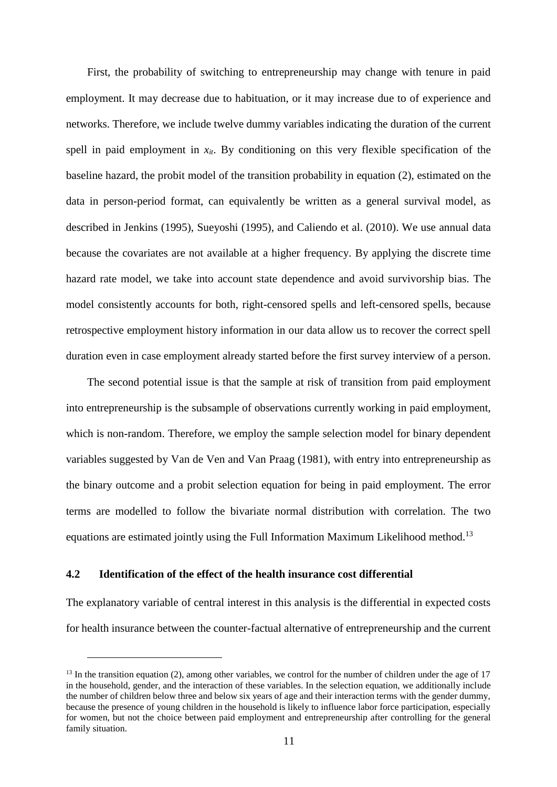First, the probability of switching to entrepreneurship may change with tenure in paid employment. It may decrease due to habituation, or it may increase due to of experience and networks. Therefore, we include twelve dummy variables indicating the duration of the current spell in paid employment in  $x_{it}$ . By conditioning on this very flexible specification of the baseline hazard, the probit model of the transition probability in equation (2), estimated on the data in person-period format, can equivalently be written as a general survival model, as described in Jenkins (1995), Sueyoshi (1995), and Caliendo et al. (2010). We use annual data because the covariates are not available at a higher frequency. By applying the discrete time hazard rate model, we take into account state dependence and avoid survivorship bias. The model consistently accounts for both, right-censored spells and left-censored spells, because retrospective employment history information in our data allow us to recover the correct spell duration even in case employment already started before the first survey interview of a person.

The second potential issue is that the sample at risk of transition from paid employment into entrepreneurship is the subsample of observations currently working in paid employment, which is non-random. Therefore, we employ the sample selection model for binary dependent variables suggested by Van de Ven and Van Praag (1981), with entry into entrepreneurship as the binary outcome and a probit selection equation for being in paid employment. The error terms are modelled to follow the bivariate normal distribution with correlation. The two equations are estimated jointly using the Full Information Maximum Likelihood method.<sup>13</sup>

### **4.2 Identification of the effect of the health insurance cost differential**

 $\overline{a}$ 

The explanatory variable of central interest in this analysis is the differential in expected costs for health insurance between the counter-factual alternative of entrepreneurship and the current

 $13$  In the transition equation (2), among other variables, we control for the number of children under the age of 17 in the household, gender, and the interaction of these variables. In the selection equation, we additionally include the number of children below three and below six years of age and their interaction terms with the gender dummy, because the presence of young children in the household is likely to influence labor force participation, especially for women, but not the choice between paid employment and entrepreneurship after controlling for the general family situation.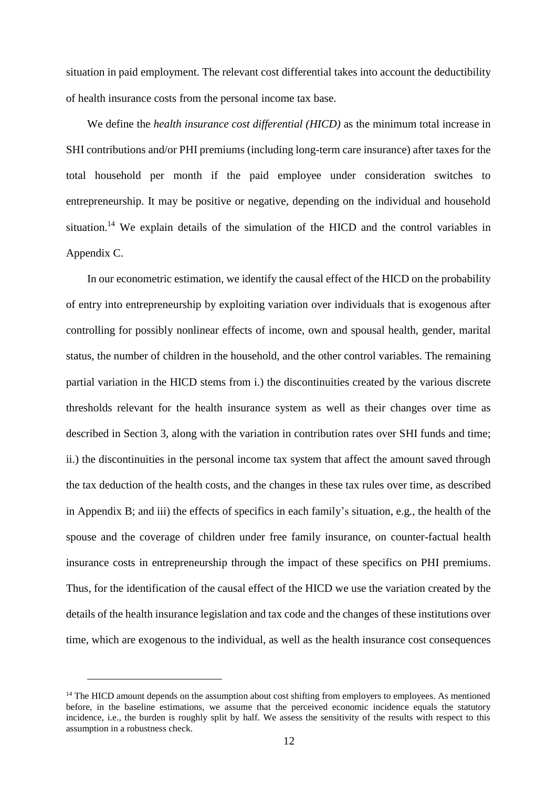situation in paid employment. The relevant cost differential takes into account the deductibility of health insurance costs from the personal income tax base.

We define the *health insurance cost differential (HICD)* as the minimum total increase in SHI contributions and/or PHI premiums (including long-term care insurance) after taxes for the total household per month if the paid employee under consideration switches to entrepreneurship. It may be positive or negative, depending on the individual and household situation.<sup>14</sup> We explain details of the simulation of the HICD and the control variables in Appendix C.

In our econometric estimation, we identify the causal effect of the HICD on the probability of entry into entrepreneurship by exploiting variation over individuals that is exogenous after controlling for possibly nonlinear effects of income, own and spousal health, gender, marital status, the number of children in the household, and the other control variables. The remaining partial variation in the HICD stems from i.) the discontinuities created by the various discrete thresholds relevant for the health insurance system as well as their changes over time as described in Section 3, along with the variation in contribution rates over SHI funds and time; ii.) the discontinuities in the personal income tax system that affect the amount saved through the tax deduction of the health costs, and the changes in these tax rules over time, as described in Appendix B; and iii) the effects of specifics in each family's situation, e.g., the health of the spouse and the coverage of children under free family insurance, on counter-factual health insurance costs in entrepreneurship through the impact of these specifics on PHI premiums. Thus, for the identification of the causal effect of the HICD we use the variation created by the details of the health insurance legislation and tax code and the changes of these institutions over time, which are exogenous to the individual, as well as the health insurance cost consequences

<sup>&</sup>lt;sup>14</sup> The HICD amount depends on the assumption about cost shifting from employers to employees. As mentioned before, in the baseline estimations, we assume that the perceived economic incidence equals the statutory incidence, i.e., the burden is roughly split by half. We assess the sensitivity of the results with respect to this assumption in a robustness check.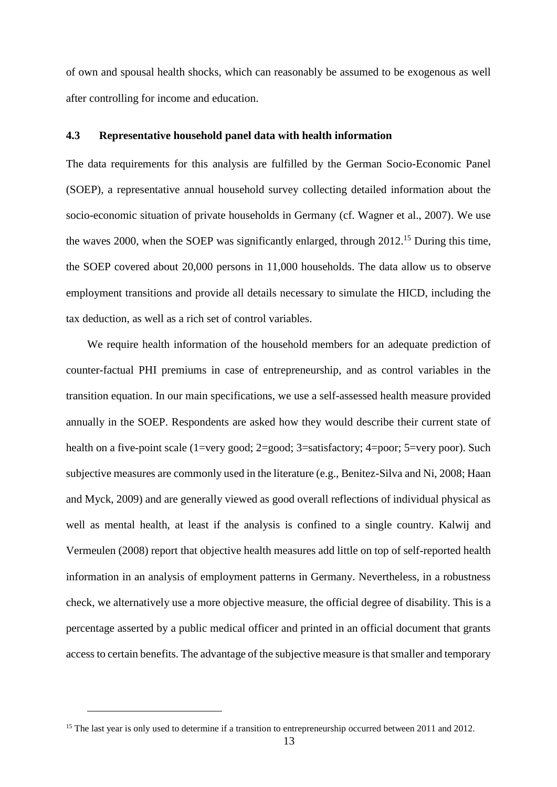of own and spousal health shocks, which can reasonably be assumed to be exogenous as well after controlling for income and education.

### **4.3 Representative household panel data with health information**

The data requirements for this analysis are fulfilled by the German Socio-Economic Panel (SOEP), a representative annual household survey collecting detailed information about the socio-economic situation of private households in Germany (cf. Wagner et al., 2007). We use the waves 2000, when the SOEP was significantly enlarged, through 2012.<sup>15</sup> During this time, the SOEP covered about 20,000 persons in 11,000 households. The data allow us to observe employment transitions and provide all details necessary to simulate the HICD, including the tax deduction, as well as a rich set of control variables.

We require health information of the household members for an adequate prediction of counter-factual PHI premiums in case of entrepreneurship, and as control variables in the transition equation. In our main specifications, we use a self-assessed health measure provided annually in the SOEP. Respondents are asked how they would describe their current state of health on a five-point scale (1=very good; 2=good; 3=satisfactory; 4=poor; 5=very poor). Such subjective measures are commonly used in the literature (e.g., Benitez-Silva and Ni, 2008; Haan and Myck, 2009) and are generally viewed as good overall reflections of individual physical as well as mental health, at least if the analysis is confined to a single country. Kalwij and Vermeulen (2008) report that objective health measures add little on top of self-reported health information in an analysis of employment patterns in Germany. Nevertheless, in a robustness check, we alternatively use a more objective measure, the official degree of disability. This is a percentage asserted by a public medical officer and printed in an official document that grants access to certain benefits. The advantage of the subjective measure is that smaller and temporary

<sup>&</sup>lt;sup>15</sup> The last year is only used to determine if a transition to entrepreneurship occurred between 2011 and 2012.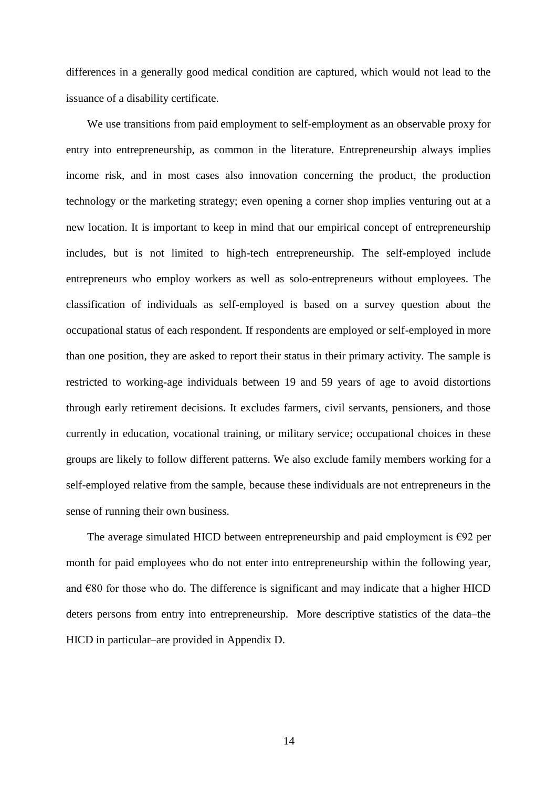differences in a generally good medical condition are captured, which would not lead to the issuance of a disability certificate.

We use transitions from paid employment to self-employment as an observable proxy for entry into entrepreneurship, as common in the literature. Entrepreneurship always implies income risk, and in most cases also innovation concerning the product, the production technology or the marketing strategy; even opening a corner shop implies venturing out at a new location. It is important to keep in mind that our empirical concept of entrepreneurship includes, but is not limited to high-tech entrepreneurship. The self-employed include entrepreneurs who employ workers as well as solo-entrepreneurs without employees. The classification of individuals as self-employed is based on a survey question about the occupational status of each respondent. If respondents are employed or self-employed in more than one position, they are asked to report their status in their primary activity. The sample is restricted to working-age individuals between 19 and 59 years of age to avoid distortions through early retirement decisions. It excludes farmers, civil servants, pensioners, and those currently in education, vocational training, or military service; occupational choices in these groups are likely to follow different patterns. We also exclude family members working for a self-employed relative from the sample, because these individuals are not entrepreneurs in the sense of running their own business.

The average simulated HICD between entrepreneurship and paid employment is  $\epsilon$ 92 per month for paid employees who do not enter into entrepreneurship within the following year, and  $\epsilon$ 80 for those who do. The difference is significant and may indicate that a higher HICD deters persons from entry into entrepreneurship. More descriptive statistics of the data–the HICD in particular–are provided in Appendix D.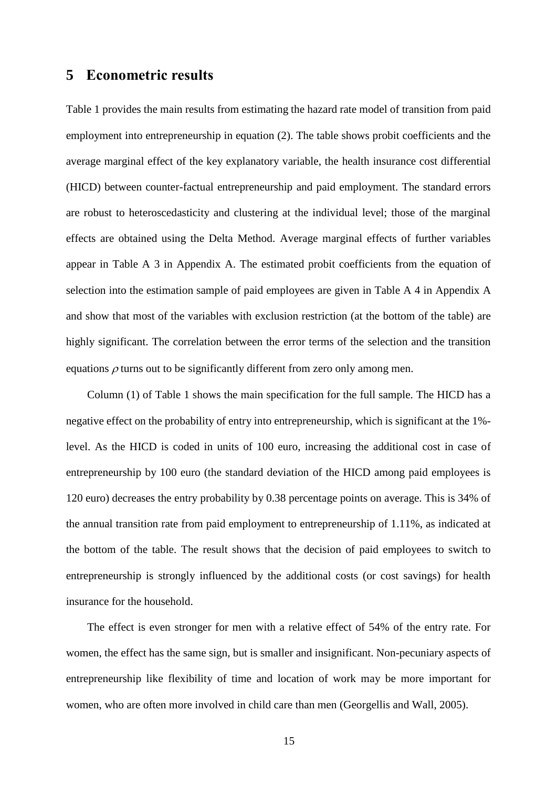### **5 Econometric results**

Table 1 provides the main results from estimating the hazard rate model of transition from paid employment into entrepreneurship in equation (2). The table shows probit coefficients and the average marginal effect of the key explanatory variable, the health insurance cost differential (HICD) between counter-factual entrepreneurship and paid employment. The standard errors are robust to heteroscedasticity and clustering at the individual level; those of the marginal effects are obtained using the Delta Method. Average marginal effects of further variables appear in Table A 3 in Appendix A. The estimated probit coefficients from the equation of selection into the estimation sample of paid employees are given in Table A 4 in Appendix A and show that most of the variables with exclusion restriction (at the bottom of the table) are highly significant. The correlation between the error terms of the selection and the transition equations  $\rho$  turns out to be significantly different from zero only among men.

Column (1) of Table 1 shows the main specification for the full sample. The HICD has a negative effect on the probability of entry into entrepreneurship, which is significant at the 1% level. As the HICD is coded in units of 100 euro, increasing the additional cost in case of entrepreneurship by 100 euro (the standard deviation of the HICD among paid employees is 120 euro) decreases the entry probability by 0.38 percentage points on average. This is 34% of the annual transition rate from paid employment to entrepreneurship of 1.11%, as indicated at the bottom of the table. The result shows that the decision of paid employees to switch to entrepreneurship is strongly influenced by the additional costs (or cost savings) for health insurance for the household.

The effect is even stronger for men with a relative effect of 54% of the entry rate. For women, the effect has the same sign, but is smaller and insignificant. Non-pecuniary aspects of entrepreneurship like flexibility of time and location of work may be more important for women, who are often more involved in child care than men (Georgellis and Wall, 2005).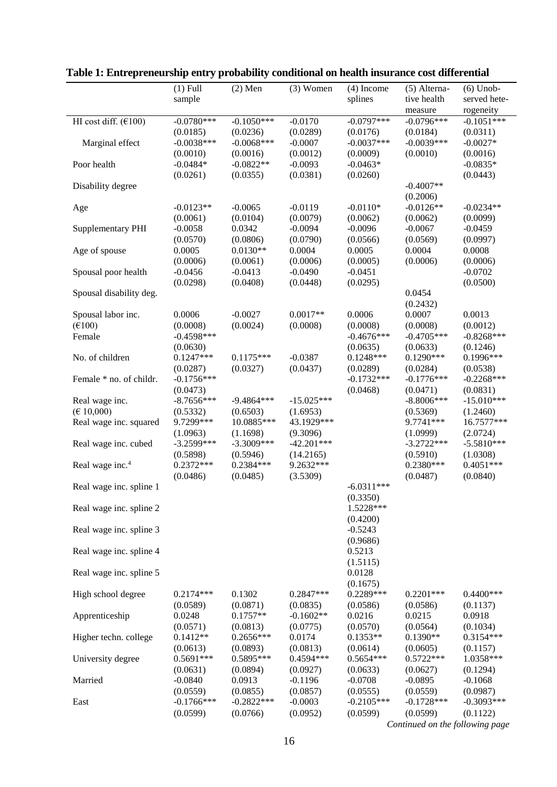|                                 | $(1)$ Full              | $(2)$ Men               | $(3)$ Women             | $(4)$ Income            | (5) Alterna-            | $(6)$ Unob-             |
|---------------------------------|-------------------------|-------------------------|-------------------------|-------------------------|-------------------------|-------------------------|
|                                 | sample                  |                         |                         | splines                 | tive health             | served hete-            |
|                                 |                         |                         |                         |                         | measure                 | rogeneity               |
| HI cost diff. $(€100)$          | $-0.0780***$            | $-0.1050***$            | $-0.0170$               | $-0.0797***$            | $-0.0796***$            | $-0.1051***$            |
|                                 | (0.0185)                | (0.0236)                | (0.0289)                | (0.0176)                | (0.0184)                | (0.0311)                |
| Marginal effect                 | $-0.0038***$            | $-0.0068***$            | $-0.0007$               | $-0.0037***$            | $-0.0039***$            | $-0.0027*$              |
|                                 | (0.0010)                | (0.0016)                | (0.0012)                | (0.0009)                | (0.0010)                | (0.0016)                |
| Poor health                     | $-0.0484*$              | $-0.0822**$             | $-0.0093$               | $-0.0463*$              |                         | $-0.0835*$              |
|                                 | (0.0261)                | (0.0355)                | (0.0381)                | (0.0260)                |                         | (0.0443)                |
| Disability degree               |                         |                         |                         |                         | $-0.4007**$             |                         |
|                                 |                         |                         |                         |                         | (0.2006)                |                         |
| Age                             | $-0.0123**$             | $-0.0065$               | $-0.0119$               | $-0.0110*$              | $-0.0126**$             | $-0.0234**$             |
|                                 | (0.0061)                | (0.0104)                | (0.0079)                | (0.0062)                | (0.0062)                | (0.0099)                |
| <b>Supplementary PHI</b>        | $-0.0058$               | 0.0342                  | $-0.0094$               | $-0.0096$               | $-0.0067$               | $-0.0459$               |
|                                 | (0.0570)                | (0.0806)                | (0.0790)                | (0.0566)                | (0.0569)                | (0.0997)                |
| Age of spouse                   | 0.0005                  | $0.0130**$              | 0.0004                  | 0.0005                  | 0.0004                  | 0.0008                  |
|                                 | (0.0006)                | (0.0061)                | (0.0006)                | (0.0005)                | (0.0006)                | (0.0006)                |
| Spousal poor health             | $-0.0456$               | $-0.0413$               | $-0.0490$               | $-0.0451$               |                         | $-0.0702$               |
|                                 | (0.0298)                | (0.0408)                | (0.0448)                | (0.0295)                |                         | (0.0500)                |
| Spousal disability deg.         |                         |                         |                         |                         | 0.0454                  |                         |
|                                 |                         |                         |                         |                         | (0.2432)                |                         |
| Spousal labor inc.              | 0.0006                  | $-0.0027$               | $0.0017**$              | 0.0006                  | 0.0007                  | 0.0013                  |
| $(\text{\textsterling}100)$     | (0.0008)                | (0.0024)                | (0.0008)                | (0.0008)                | (0.0008)                | (0.0012)                |
| Female                          | $-0.4598***$            |                         |                         | $-0.4676***$            | $-0.4705***$            | $-0.8268***$            |
|                                 | (0.0630)                |                         |                         | (0.0635)                | (0.0633)                | (0.1246)                |
| No. of children                 | $0.1247***$             | $0.1175***$             | $-0.0387$               | $0.1248***$             | $0.1290***$             | $0.1996***$             |
|                                 | (0.0287)                | (0.0327)                | (0.0437)                | (0.0289)                | (0.0284)                | (0.0538)                |
| Female * no. of childr.         | $-0.1756***$            |                         |                         | $-0.1732***$            | $-0.1776***$            | $-0.2268***$            |
|                                 | (0.0473)                |                         |                         | (0.0468)                | (0.0471)                | (0.0831)                |
| Real wage inc.                  | $-8.7656***$            | $-9.4864***$            | $-15.025***$            |                         | $-8.8006***$            | $-15.010***$            |
| $(\text{\textsterling} 10,000)$ | (0.5332)                | (0.6503)                | (1.6953)                |                         | (0.5369)                | (1.2460)                |
| Real wage inc. squared          | 9.7299***               | 10.0885***              | 43.1929***              |                         | 9.7741***               | 16.7577***              |
|                                 | (1.0963)                | (1.1698)                | (9.3096)                |                         | (1.0999)                | (2.0724)                |
| Real wage inc. cubed            | $-3.2599***$            | $-3.3009***$            | $-42.201***$            |                         | $-3.2722***$            | $-5.5810***$            |
|                                 | (0.5898)                | (0.5946)                | (14.2165)               |                         | (0.5910)                | (1.0308)                |
| Real wage inc. <sup>4</sup>     | $0.2372***$             | $0.2384***$             | 9.2632***               |                         | $0.2380***$             | $0.4051***$             |
|                                 | (0.0486)                | (0.0485)                | (3.5309)                |                         | (0.0487)                | (0.0840)                |
| Real wage inc. spline 1         |                         |                         |                         | $-6.0311***$            |                         |                         |
|                                 |                         |                         |                         | (0.3350)                |                         |                         |
| Real wage inc. spline 2         |                         |                         |                         | 1.5228***               |                         |                         |
|                                 |                         |                         |                         | (0.4200)                |                         |                         |
| Real wage inc. spline 3         |                         |                         |                         | $-0.5243$               |                         |                         |
|                                 |                         |                         |                         | (0.9686)<br>0.5213      |                         |                         |
| Real wage inc. spline 4         |                         |                         |                         |                         |                         |                         |
|                                 |                         |                         |                         | (1.5115)                |                         |                         |
| Real wage inc. spline 5         |                         |                         |                         | 0.0128<br>(0.1675)      |                         |                         |
|                                 |                         |                         |                         | 0.2289***               |                         |                         |
| High school degree              | $0.2174***$             | 0.1302                  | 0.2847***               |                         | $0.2201***$             | $0.4400***$             |
|                                 | (0.0589)                | (0.0871)<br>$0.1757**$  | (0.0835)<br>$-0.1602**$ | (0.0586)<br>0.0216      | (0.0586)<br>0.0215      | (0.1137)<br>0.0918      |
| Apprenticeship                  | 0.0248                  |                         |                         |                         |                         |                         |
|                                 | (0.0571)<br>$0.1412**$  | (0.0813)<br>$0.2656***$ | (0.0775)                | (0.0570)<br>$0.1353**$  | (0.0564)<br>$0.1390**$  | (0.1034)<br>$0.3154***$ |
| Higher techn. college           |                         |                         | 0.0174                  |                         |                         |                         |
| University degree               | (0.0613)<br>$0.5691***$ | (0.0893)<br>0.5895***   | (0.0813)<br>0.4594 ***  | (0.0614)<br>$0.5654***$ | (0.0605)<br>$0.5722***$ | (0.1157)<br>1.0358***   |
|                                 | (0.0631)                | (0.0894)                | (0.0927)                | (0.0633)                | (0.0627)                | (0.1294)                |
| Married                         | $-0.0840$               | 0.0913                  | $-0.1196$               | $-0.0708$               | $-0.0895$               | $-0.1068$               |
|                                 | (0.0559)                | (0.0855)                | (0.0857)                | (0.0555)                | (0.0559)                | (0.0987)                |
| East                            | $-0.1766$ ***           | $-0.2822***$            | $-0.0003$               | $-0.2105***$            | $-0.1728***$            | $-0.3093***$            |
|                                 | (0.0599)                | (0.0766)                | (0.0952)                | (0.0599)                | (0.0599)                | (0.1122)                |
|                                 |                         |                         |                         |                         |                         |                         |

**Table 1: Entrepreneurship entry probability conditional on health insurance cost differential**

*Continued on the following page*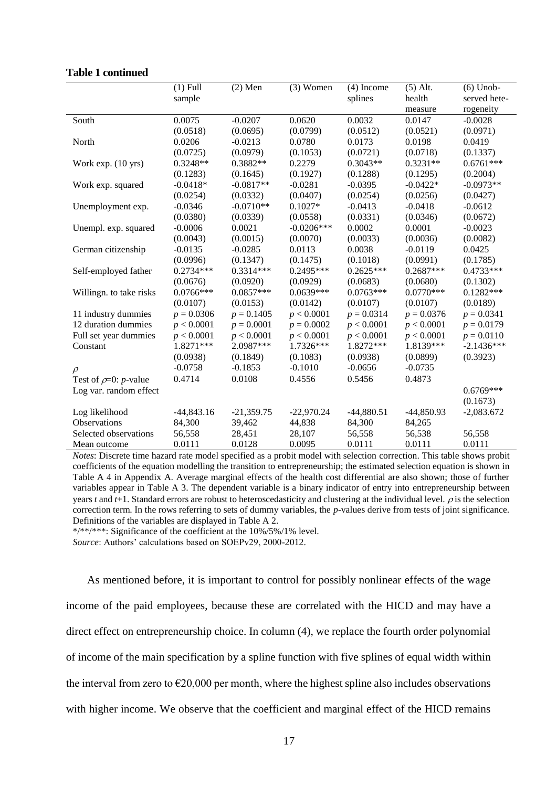|                                    | $(1)$ Full   | $(2)$ Men    | $(3)$ Women  | $(4)$ Income | $(5)$ Alt.   | $(6)$ Unob-  |
|------------------------------------|--------------|--------------|--------------|--------------|--------------|--------------|
|                                    | sample       |              |              | splines      | health       | served hete- |
|                                    |              |              |              |              | measure      | rogeneity    |
| South                              | 0.0075       | $-0.0207$    | 0.0620       | 0.0032       | 0.0147       | $-0.0028$    |
|                                    | (0.0518)     | (0.0695)     | (0.0799)     | (0.0512)     | (0.0521)     | (0.0971)     |
| North                              | 0.0206       | $-0.0213$    | 0.0780       | 0.0173       | 0.0198       | 0.0419       |
|                                    | (0.0725)     | (0.0979)     | (0.1053)     | (0.0721)     | (0.0718)     | (0.1337)     |
| Work exp. (10 yrs)                 | $0.3248**$   | $0.3882**$   | 0.2279       | $0.3043**$   | $0.3231**$   | $0.6761***$  |
|                                    | (0.1283)     | (0.1645)     | (0.1927)     | (0.1288)     | (0.1295)     | (0.2004)     |
| Work exp. squared                  | $-0.0418*$   | $-0.0817**$  | $-0.0281$    | $-0.0395$    | $-0.0422*$   | $-0.0973**$  |
|                                    | (0.0254)     | (0.0332)     | (0.0407)     | (0.0254)     | (0.0256)     | (0.0427)     |
| Unemployment exp.                  | $-0.0346$    | $-0.0710**$  | $0.1027*$    | $-0.0413$    | $-0.0418$    | $-0.0612$    |
|                                    | (0.0380)     | (0.0339)     | (0.0558)     | (0.0331)     | (0.0346)     | (0.0672)     |
| Unempl. exp. squared               | $-0.0006$    | 0.0021       | $-0.0206***$ | 0.0002       | 0.0001       | $-0.0023$    |
|                                    | (0.0043)     | (0.0015)     | (0.0070)     | (0.0033)     | (0.0036)     | (0.0082)     |
| German citizenship                 | $-0.0135$    | $-0.0285$    | 0.0113       | 0.0038       | $-0.0119$    | 0.0425       |
|                                    | (0.0996)     | (0.1347)     | (0.1475)     | (0.1018)     | (0.0991)     | (0.1785)     |
| Self-employed father               | $0.2734***$  | $0.3314***$  | $0.2495***$  | $0.2625***$  | $0.2687***$  | $0.4733***$  |
|                                    | (0.0676)     | (0.0920)     | (0.0929)     | (0.0683)     | (0.0680)     | (0.1302)     |
| Willingn. to take risks            | $0.0766***$  | $0.0857***$  | $0.0639***$  | $0.0763***$  | $0.0770***$  | $0.1282***$  |
|                                    | (0.0107)     | (0.0153)     | (0.0142)     | (0.0107)     | (0.0107)     | (0.0189)     |
| 11 industry dummies                | $p = 0.0306$ | $p = 0.1405$ | p < 0.0001   | $p = 0.0314$ | $p = 0.0376$ | $p = 0.0341$ |
| 12 duration dummies                | p < 0.0001   | $p = 0.0001$ | $p = 0.0002$ | p < 0.0001   | p < 0.0001   | $p = 0.0179$ |
| Full set year dummies              | p < 0.0001   | p < 0.0001   | p < 0.0001   | p < 0.0001   | p < 0.0001   | $p = 0.0110$ |
| Constant                           | 1.8271***    | 2.0987***    | 1.7326***    | 1.8272***    | 1.8139***    | $-2.1436***$ |
|                                    | (0.0938)     | (0.1849)     | (0.1083)     | (0.0938)     | (0.0899)     | (0.3923)     |
| $\rho$                             | $-0.0758$    | $-0.1853$    | $-0.1010$    | $-0.0656$    | $-0.0735$    |              |
| Test of $\rho=0$ : <i>p</i> -value | 0.4714       | 0.0108       | 0.4556       | 0.5456       | 0.4873       |              |
| Log var. random effect             |              |              |              |              |              | $0.6769***$  |
|                                    |              |              |              |              |              | (0.1673)     |
| Log likelihood                     | $-44,843.16$ | $-21,359.75$ | $-22,970.24$ | $-44,880.51$ | $-44,850.93$ | $-2,083.672$ |
| Observations                       | 84,300       | 39,462       | 44,838       | 84,300       | 84,265       |              |
| Selected observations              | 56,558       | 28,451       | 28,107       | 56,558       | 56,538       | 56,558       |
| Mean outcome                       | 0.0111       | 0.0128       | 0.0095       | 0.0111       | 0.0111       | 0.0111       |

### **Table 1 continued**

*Notes*: Discrete time hazard rate model specified as a probit model with selection correction. This table shows probit coefficients of the equation modelling the transition to entrepreneurship; the estimated selection equation is shown in Table A 4 in Appendix A. Average marginal effects of the health cost differential are also shown; those of further variables appear in Table A 3. The dependent variable is a binary indicator of entry into entrepreneurship between years  $t$  and  $t+1$ . Standard errors are robust to heteroscedasticity and clustering at the individual level.  $\rho$  is the selection correction term. In the rows referring to sets of dummy variables, the *p*-values derive from tests of joint significance. Definitions of the variables are displayed in Table A 2.

\*/\*\*/\*\*\*: Significance of the coefficient at the 10%/5%/1% level.

*Source*: Authors' calculations based on SOEPv29, 2000-2012.

As mentioned before, it is important to control for possibly nonlinear effects of the wage income of the paid employees, because these are correlated with the HICD and may have a direct effect on entrepreneurship choice. In column (4), we replace the fourth order polynomial of income of the main specification by a spline function with five splines of equal width within the interval from zero to  $\epsilon$ 20,000 per month, where the highest spline also includes observations with higher income. We observe that the coefficient and marginal effect of the HICD remains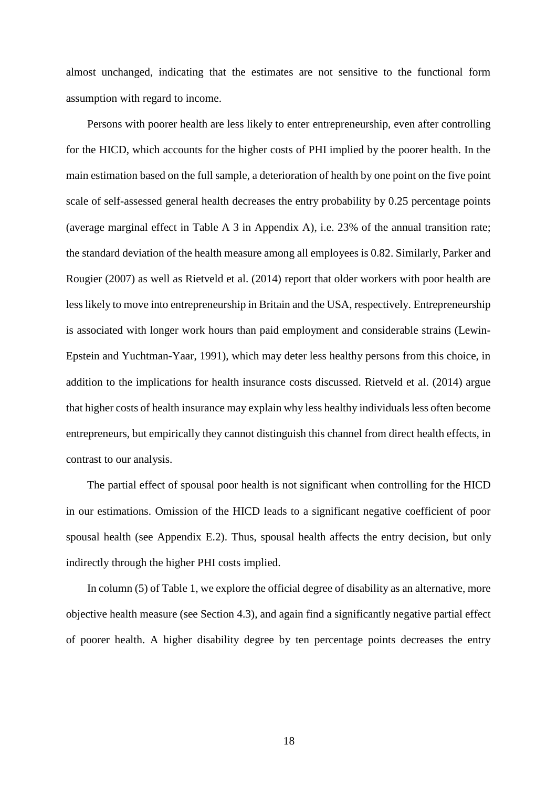almost unchanged, indicating that the estimates are not sensitive to the functional form assumption with regard to income.

Persons with poorer health are less likely to enter entrepreneurship, even after controlling for the HICD, which accounts for the higher costs of PHI implied by the poorer health. In the main estimation based on the full sample, a deterioration of health by one point on the five point scale of self-assessed general health decreases the entry probability by 0.25 percentage points (average marginal effect in Table A 3 in Appendix A), i.e. 23% of the annual transition rate; the standard deviation of the health measure among all employees is 0.82. Similarly, Parker and Rougier (2007) as well as Rietveld et al. (2014) report that older workers with poor health are less likely to move into entrepreneurship in Britain and the USA, respectively. Entrepreneurship is associated with longer work hours than paid employment and considerable strains (Lewin-Epstein and Yuchtman-Yaar, 1991), which may deter less healthy persons from this choice, in addition to the implications for health insurance costs discussed. Rietveld et al. (2014) argue that higher costs of health insurance may explain why less healthy individuals less often become entrepreneurs, but empirically they cannot distinguish this channel from direct health effects, in contrast to our analysis.

The partial effect of spousal poor health is not significant when controlling for the HICD in our estimations. Omission of the HICD leads to a significant negative coefficient of poor spousal health (see Appendix E.2). Thus, spousal health affects the entry decision, but only indirectly through the higher PHI costs implied.

In column (5) of Table 1, we explore the official degree of disability as an alternative, more objective health measure (see Section 4.3), and again find a significantly negative partial effect of poorer health. A higher disability degree by ten percentage points decreases the entry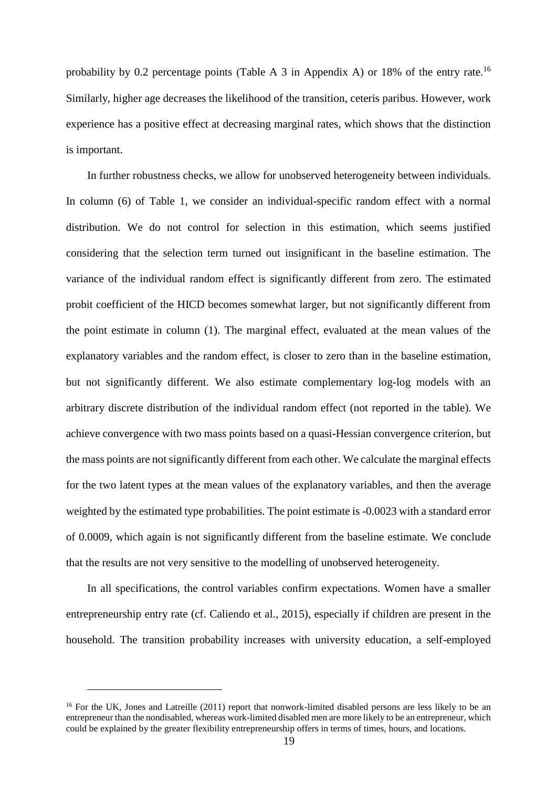probability by 0.2 percentage points (Table A 3 in Appendix A) or 18% of the entry rate.<sup>16</sup> Similarly, higher age decreases the likelihood of the transition, ceteris paribus. However, work experience has a positive effect at decreasing marginal rates, which shows that the distinction is important.

In further robustness checks, we allow for unobserved heterogeneity between individuals. In column (6) of Table 1, we consider an individual-specific random effect with a normal distribution. We do not control for selection in this estimation, which seems justified considering that the selection term turned out insignificant in the baseline estimation. The variance of the individual random effect is significantly different from zero. The estimated probit coefficient of the HICD becomes somewhat larger, but not significantly different from the point estimate in column (1). The marginal effect, evaluated at the mean values of the explanatory variables and the random effect, is closer to zero than in the baseline estimation, but not significantly different. We also estimate complementary log-log models with an arbitrary discrete distribution of the individual random effect (not reported in the table). We achieve convergence with two mass points based on a quasi-Hessian convergence criterion, but the mass points are not significantly different from each other. We calculate the marginal effects for the two latent types at the mean values of the explanatory variables, and then the average weighted by the estimated type probabilities. The point estimate is -0.0023 with a standard error of 0.0009, which again is not significantly different from the baseline estimate. We conclude that the results are not very sensitive to the modelling of unobserved heterogeneity.

In all specifications, the control variables confirm expectations. Women have a smaller entrepreneurship entry rate (cf. Caliendo et al., 2015), especially if children are present in the household. The transition probability increases with university education, a self-employed

<sup>&</sup>lt;sup>16</sup> For the UK, Jones and Latreille (2011) report that nonwork-limited disabled persons are less likely to be an entrepreneur than the nondisabled, whereas work-limited disabled men are more likely to be an entrepreneur, which could be explained by the greater flexibility entrepreneurship offers in terms of times, hours, and locations.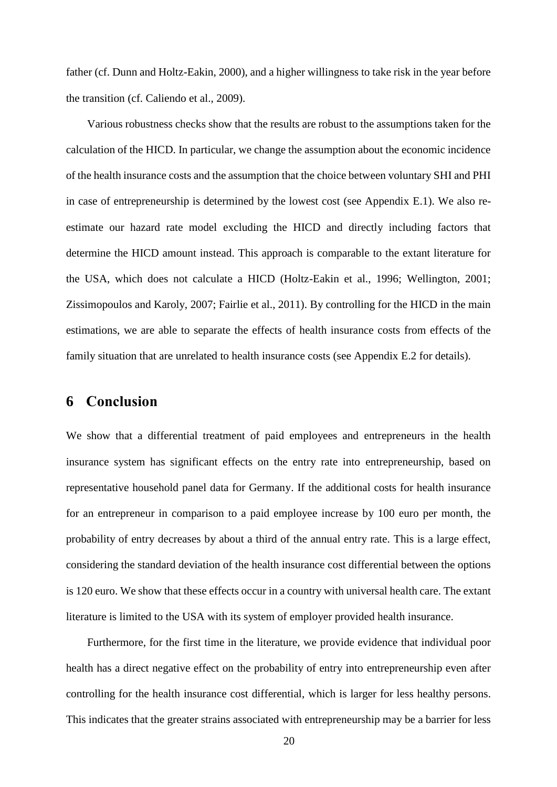father (cf. Dunn and Holtz-Eakin, 2000), and a higher willingness to take risk in the year before the transition (cf. Caliendo et al., 2009).

Various robustness checks show that the results are robust to the assumptions taken for the calculation of the HICD. In particular, we change the assumption about the economic incidence of the health insurance costs and the assumption that the choice between voluntary SHI and PHI in case of entrepreneurship is determined by the lowest cost (see Appendix E.1). We also reestimate our hazard rate model excluding the HICD and directly including factors that determine the HICD amount instead. This approach is comparable to the extant literature for the USA, which does not calculate a HICD (Holtz-Eakin et al., 1996; Wellington, 2001; Zissimopoulos and Karoly, 2007; Fairlie et al., 2011). By controlling for the HICD in the main estimations, we are able to separate the effects of health insurance costs from effects of the family situation that are unrelated to health insurance costs (see Appendix E.2 for details).

## **6 Conclusion**

We show that a differential treatment of paid employees and entrepreneurs in the health insurance system has significant effects on the entry rate into entrepreneurship, based on representative household panel data for Germany. If the additional costs for health insurance for an entrepreneur in comparison to a paid employee increase by 100 euro per month, the probability of entry decreases by about a third of the annual entry rate. This is a large effect, considering the standard deviation of the health insurance cost differential between the options is 120 euro. We show that these effects occur in a country with universal health care. The extant literature is limited to the USA with its system of employer provided health insurance.

Furthermore, for the first time in the literature, we provide evidence that individual poor health has a direct negative effect on the probability of entry into entrepreneurship even after controlling for the health insurance cost differential, which is larger for less healthy persons. This indicates that the greater strains associated with entrepreneurship may be a barrier for less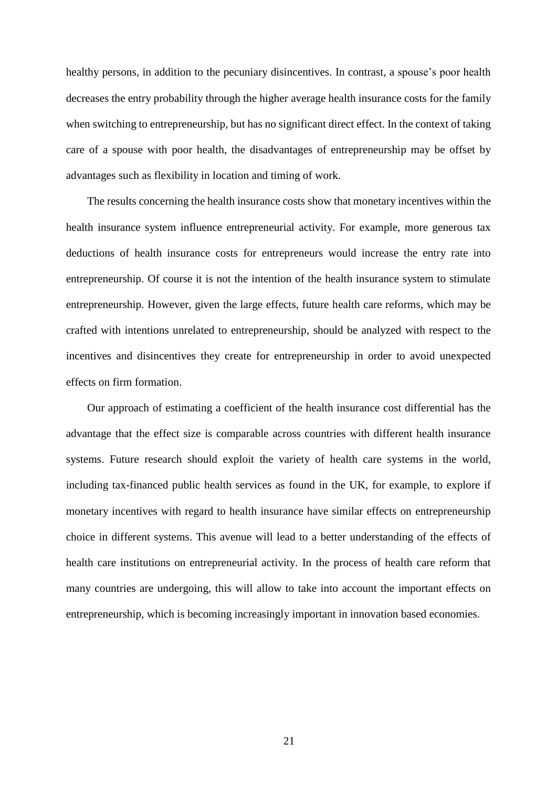healthy persons, in addition to the pecuniary disincentives. In contrast, a spouse's poor health decreases the entry probability through the higher average health insurance costs for the family when switching to entrepreneurship, but has no significant direct effect. In the context of taking care of a spouse with poor health, the disadvantages of entrepreneurship may be offset by advantages such as flexibility in location and timing of work.

The results concerning the health insurance costs show that monetary incentives within the health insurance system influence entrepreneurial activity. For example, more generous tax deductions of health insurance costs for entrepreneurs would increase the entry rate into entrepreneurship. Of course it is not the intention of the health insurance system to stimulate entrepreneurship. However, given the large effects, future health care reforms, which may be crafted with intentions unrelated to entrepreneurship, should be analyzed with respect to the incentives and disincentives they create for entrepreneurship in order to avoid unexpected effects on firm formation.

Our approach of estimating a coefficient of the health insurance cost differential has the advantage that the effect size is comparable across countries with different health insurance systems. Future research should exploit the variety of health care systems in the world, including tax-financed public health services as found in the UK, for example, to explore if monetary incentives with regard to health insurance have similar effects on entrepreneurship choice in different systems. This avenue will lead to a better understanding of the effects of health care institutions on entrepreneurial activity. In the process of health care reform that many countries are undergoing, this will allow to take into account the important effects on entrepreneurship, which is becoming increasingly important in innovation based economies.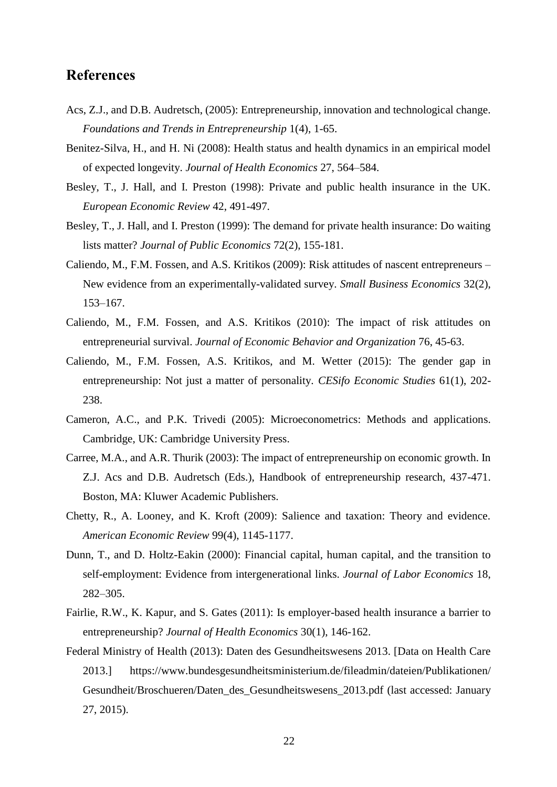### **References**

- Acs, Z.J., and D.B. Audretsch, (2005): Entrepreneurship, innovation and technological change. *Foundations and Trends in Entrepreneurship* 1(4), 1-65.
- Benitez-Silva, H., and H. Ni (2008): Health status and health dynamics in an empirical model of expected longevity. *Journal of Health Economics* 27, 564–584.
- Besley, T., J. Hall, and I. Preston (1998): Private and public health insurance in the UK. *European Economic Review* 42, 491-497.
- Besley, T., J. Hall, and I. Preston (1999): The demand for private health insurance: Do waiting lists matter? *Journal of Public Economics* 72(2), 155-181.
- Caliendo, M., F.M. Fossen, and A.S. Kritikos (2009): Risk attitudes of nascent entrepreneurs New evidence from an experimentally-validated survey. *Small Business Economics* 32(2), 153–167.
- Caliendo, M., F.M. Fossen, and A.S. Kritikos (2010): The impact of risk attitudes on entrepreneurial survival. *Journal of Economic Behavior and Organization* 76, 45-63.
- Caliendo, M., F.M. Fossen, A.S. Kritikos, and M. Wetter (2015): The gender gap in entrepreneurship: Not just a matter of personality. *CESifo Economic Studies* 61(1), 202- 238.
- Cameron, A.C., and P.K. Trivedi (2005): Microeconometrics: Methods and applications. Cambridge, UK: Cambridge University Press.
- Carree, M.A., and A.R. Thurik (2003): The impact of entrepreneurship on economic growth. In Z.J. Acs and D.B. Audretsch (Eds.), Handbook of entrepreneurship research, 437-471. Boston, MA: Kluwer Academic Publishers.
- Chetty, R., A. Looney, and K. Kroft (2009): Salience and taxation: Theory and evidence. *American Economic Review* 99(4), 1145-1177.
- Dunn, T., and D. Holtz-Eakin (2000): Financial capital, human capital, and the transition to self-employment: Evidence from intergenerational links. *Journal of Labor Economics* 18, 282–305.
- Fairlie, R.W., K. Kapur, and S. Gates (2011): Is employer-based health insurance a barrier to entrepreneurship? *Journal of Health Economics* 30(1), 146-162.
- Federal Ministry of Health (2013): Daten des Gesundheitswesens 2013. [Data on Health Care 2013.] [https://www.bundesgesundheitsministerium.de/fileadmin/dateien/Publikationen/](https://www.bundesgesundheitsministerium.de/fileadmin/dateien/Publikationen/Gesundheit/Broschueren/Daten_des_Gesundheitswesens_2013.pdf)  [Gesundheit/Broschueren/Daten\\_des\\_Gesundheitswesens\\_2013.pdf](https://www.bundesgesundheitsministerium.de/fileadmin/dateien/Publikationen/Gesundheit/Broschueren/Daten_des_Gesundheitswesens_2013.pdf) (last accessed: January 27, 2015).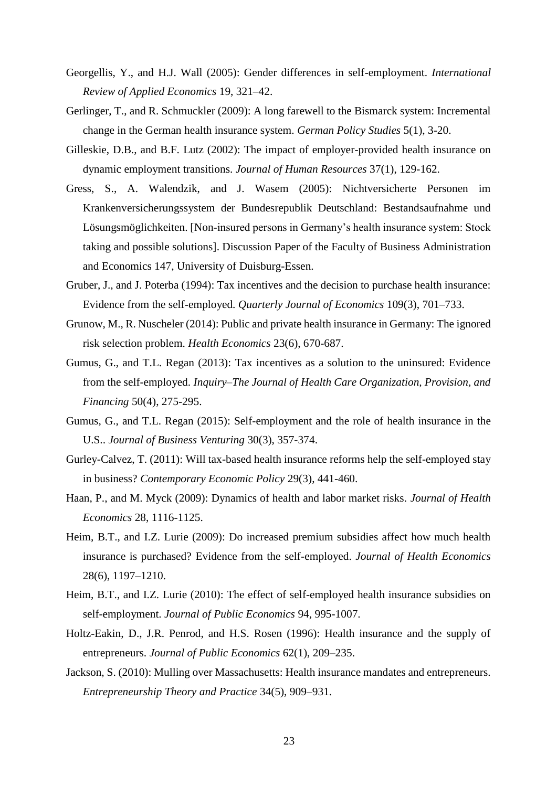- Georgellis, Y., and H.J. Wall (2005): Gender differences in self-employment. *International Review of Applied Economics* 19, 321–42.
- Gerlinger, T., and R. Schmuckler (2009): A long farewell to the Bismarck system: Incremental change in the German health insurance system. *German Policy Studies* 5(1), 3-20.
- Gilleskie, D.B., and B.F. Lutz (2002): The impact of employer-provided health insurance on dynamic employment transitions. *Journal of Human Resources* 37(1), 129-162.
- Gress, S., A. Walendzik, and J. Wasem (2005): Nichtversicherte Personen im Krankenversicherungssystem der Bundesrepublik Deutschland: Bestandsaufnahme und Lösungsmöglichkeiten. [Non-insured persons in Germany's health insurance system: Stock taking and possible solutions]. Discussion Paper of the Faculty of Business Administration and Economics 147, University of Duisburg-Essen.
- Gruber, J., and J. Poterba (1994): Tax incentives and the decision to purchase health insurance: Evidence from the self-employed. *Quarterly Journal of Economics* 109(3), 701–733.
- Grunow, M., R. Nuscheler (2014): Public and private health insurance in Germany: The ignored risk selection problem. *Health Economics* 23(6), 670-687.
- Gumus, G., and T.L. Regan (2013): Tax incentives as a solution to the uninsured: Evidence from the self-employed. *Inquiry*–*The Journal of Health Care Organization, Provision, and Financing* 50(4), 275-295.
- Gumus, G., and T.L. Regan (2015): Self-employment and the role of health insurance in the U.S.. *Journal of Business Venturing* 30(3), 357-374.
- Gurley-Calvez, T. (2011): Will tax-based health insurance reforms help the self-employed stay in business? *Contemporary Economic Policy* 29(3), 441-460.
- Haan, P., and M. Myck (2009): Dynamics of health and labor market risks. *Journal of Health Economics* 28, 1116-1125.
- Heim, B.T., and I.Z. Lurie (2009): Do increased premium subsidies affect how much health insurance is purchased? Evidence from the self-employed. *Journal of Health Economics* 28(6), 1197–1210.
- Heim, B.T., and I.Z. Lurie (2010): The effect of self-employed health insurance subsidies on self-employment. *Journal of Public Economics* 94, 995-1007.
- Holtz-Eakin, D., J.R. Penrod, and H.S. Rosen (1996): Health insurance and the supply of entrepreneurs. *Journal of Public Economics* 62(1), 209–235.
- Jackson, S. (2010): Mulling over Massachusetts: Health insurance mandates and entrepreneurs. *Entrepreneurship Theory and Practice* 34(5), 909–931.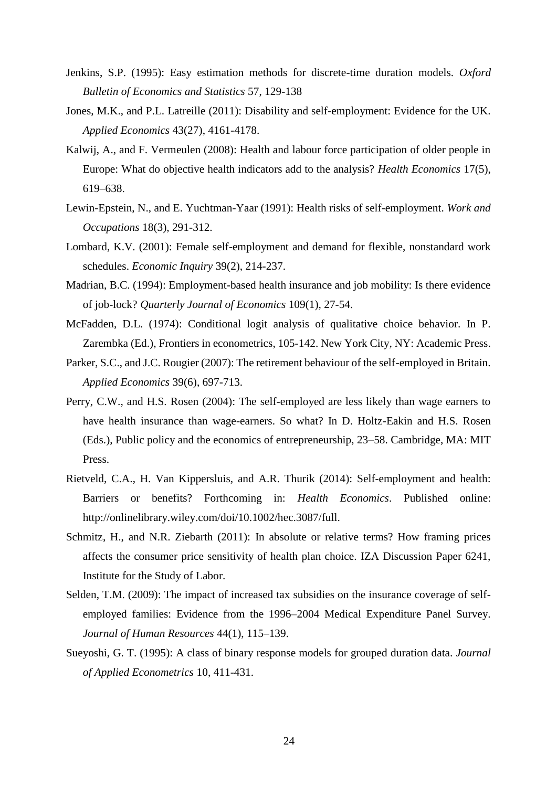- Jenkins, S.P. (1995): Easy estimation methods for discrete-time duration models. *Oxford Bulletin of Economics and Statistics* 57, 129-138
- Jones, M.K., and P.L. Latreille (2011): Disability and self-employment: Evidence for the UK. *Applied Economics* 43(27), 4161-4178.
- Kalwij, A., and F. Vermeulen (2008): Health and labour force participation of older people in Europe: What do objective health indicators add to the analysis? *Health Economics* 17(5), 619–638.
- Lewin-Epstein, N., and E. Yuchtman-Yaar (1991): Health risks of self-employment. *Work and Occupations* 18(3), 291-312.
- Lombard, K.V. (2001): Female self-employment and demand for flexible, nonstandard work schedules. *Economic Inquiry* 39(2), 214-237.
- Madrian, B.C. (1994): Employment-based health insurance and job mobility: Is there evidence of job-lock? *Quarterly Journal of Economics* 109(1), 27-54.
- McFadden, D.L. (1974): Conditional logit analysis of qualitative choice behavior. In P. Zarembka (Ed.), Frontiers in econometrics, 105-142. New York City, NY: Academic Press.
- Parker, S.C., and J.C. Rougier (2007): The retirement behaviour of the self-employed in Britain. *Applied Economics* 39(6), 697-713.
- Perry, C.W., and H.S. Rosen (2004): The self-employed are less likely than wage earners to have health insurance than wage-earners. So what? In D. Holtz-Eakin and H.S. Rosen (Eds.), Public policy and the economics of entrepreneurship, 23–58. Cambridge, MA: MIT Press.
- Rietveld, C.A., H. Van Kippersluis, and A.R. Thurik (2014): Self-employment and health: Barriers or benefits? Forthcoming in: *Health Economics*. Published online: [http://onlinelibrary.wiley.com/doi/10.1002/hec.3087/full.](http://onlinelibrary.wiley.com/doi/10.1002/hec.3087/full)
- Schmitz, H., and N.R. Ziebarth (2011): In absolute or relative terms? How framing prices affects the consumer price sensitivity of health plan choice. IZA Discussion Paper 6241, Institute for the Study of Labor.
- Selden, T.M. (2009): The impact of increased tax subsidies on the insurance coverage of selfemployed families: Evidence from the 1996–2004 Medical Expenditure Panel Survey. *Journal of Human Resources* 44(1), 115–139.
- Sueyoshi, G. T. (1995): A class of binary response models for grouped duration data. *Journal of Applied Econometrics* 10, 411-431.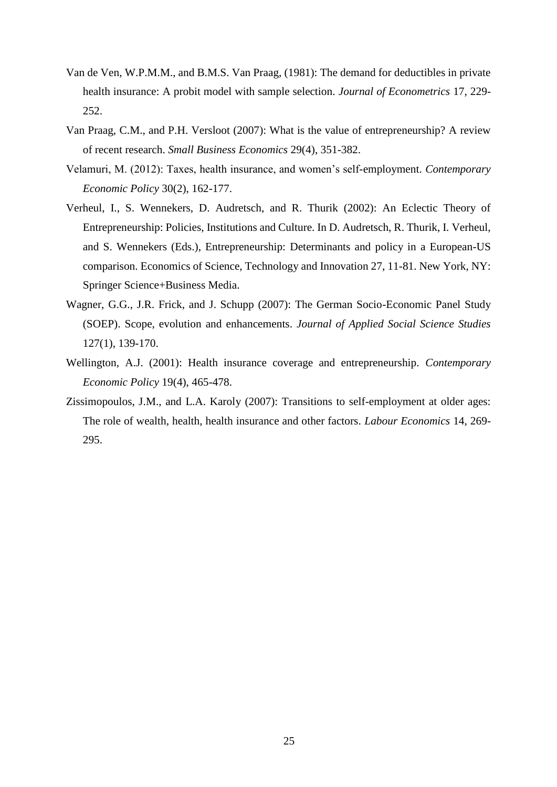- Van de Ven, W.P.M.M., and B.M.S. Van Praag, (1981): The demand for deductibles in private health insurance: A probit model with sample selection. *Journal of Econometrics* 17, 229- 252.
- Van Praag, C.M., and P.H. Versloot (2007): What is the value of entrepreneurship? A review of recent research. *Small Business Economics* 29(4), 351-382.
- Velamuri, M. (2012): Taxes, health insurance, and women's self-employment. *Contemporary Economic Policy* 30(2), 162-177.
- Verheul, I., S. Wennekers, D. Audretsch, and R. Thurik (2002): An Eclectic Theory of Entrepreneurship: Policies, Institutions and Culture. In D. Audretsch, R. Thurik, I. Verheul, and S. Wennekers (Eds.), Entrepreneurship: Determinants and policy in a European-US comparison. Economics of Science, Technology and Innovation 27, 11-81. New York, NY: Springer Science+Business Media.
- Wagner, G.G., J.R. Frick, and J. Schupp (2007): The German Socio-Economic Panel Study (SOEP). Scope, evolution and enhancements. *Journal of Applied Social Science Studies* 127(1), 139-170.
- Wellington, A.J. (2001): Health insurance coverage and entrepreneurship. *Contemporary Economic Policy* 19(4), 465-478.
- Zissimopoulos, J.M., and L.A. Karoly (2007): Transitions to self-employment at older ages: The role of wealth, health, health insurance and other factors. *Labour Economics* 14, 269- 295.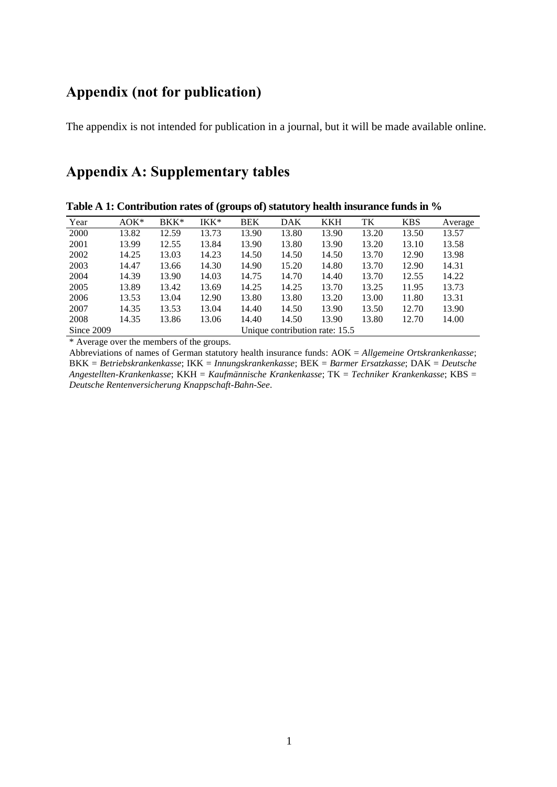## **Appendix (not for publication)**

The appendix is not intended for publication in a journal, but it will be made available online.

## **Appendix A: Supplementary tables**

| Year       | $AOK^*$ | $BKK^*$ | IKK*  | <b>BEK</b> | <b>DAK</b>                     | <b>KKH</b> | TK    | <b>KBS</b> | Average |
|------------|---------|---------|-------|------------|--------------------------------|------------|-------|------------|---------|
| 2000       | 13.82   | 12.59   | 13.73 | 13.90      | 13.80                          | 13.90      | 13.20 | 13.50      | 13.57   |
| 2001       | 13.99   | 12.55   | 13.84 | 13.90      | 13.80                          | 13.90      | 13.20 | 13.10      | 13.58   |
| 2002       | 14.25   | 13.03   | 14.23 | 14.50      | 14.50                          | 14.50      | 13.70 | 12.90      | 13.98   |
| 2003       | 14.47   | 13.66   | 14.30 | 14.90      | 15.20                          | 14.80      | 13.70 | 12.90      | 14.31   |
| 2004       | 14.39   | 13.90   | 14.03 | 14.75      | 14.70                          | 14.40      | 13.70 | 12.55      | 14.22   |
| 2005       | 13.89   | 13.42   | 13.69 | 14.25      | 14.25                          | 13.70      | 13.25 | 11.95      | 13.73   |
| 2006       | 13.53   | 13.04   | 12.90 | 13.80      | 13.80                          | 13.20      | 13.00 | 11.80      | 13.31   |
| 2007       | 14.35   | 13.53   | 13.04 | 14.40      | 14.50                          | 13.90      | 13.50 | 12.70      | 13.90   |
| 2008       | 14.35   | 13.86   | 13.06 | 14.40      | 14.50                          | 13.90      | 13.80 | 12.70      | 14.00   |
| Since 2009 |         |         |       |            | Unique contribution rate: 15.5 |            |       |            |         |

**Table A 1: Contribution rates of (groups of) statutory health insurance funds in %**

\* Average over the members of the groups.

Abbreviations of names of German statutory health insurance funds: AOK = *Allgemeine Ortskrankenkasse*; BKK = *Betriebskrankenkasse*; IKK = *Innungskrankenkasse*; BEK = *Barmer Ersatzkasse*; DAK = *Deutsche Angestellten-Krankenkasse*; KKH = *Kaufmännische Krankenkasse*; TK = *Techniker Krankenkasse*; KBS = *Deutsche Rentenversicherung Knappschaft-Bahn-See*.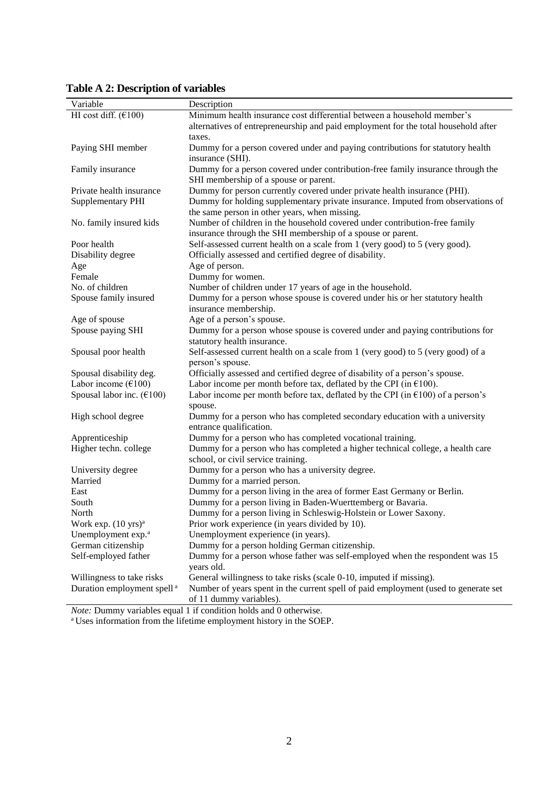| Variable                                 | Description                                                                                                          |
|------------------------------------------|----------------------------------------------------------------------------------------------------------------------|
| HI cost diff. $(6100)$                   | Minimum health insurance cost differential between a household member's                                              |
|                                          | alternatives of entrepreneurship and paid employment for the total household after                                   |
|                                          | taxes.                                                                                                               |
| Paying SHI member                        | Dummy for a person covered under and paying contributions for statutory health                                       |
|                                          | insurance (SHI).                                                                                                     |
| Family insurance                         | Dummy for a person covered under contribution-free family insurance through the                                      |
|                                          | SHI membership of a spouse or parent.                                                                                |
| Private health insurance                 | Dummy for person currently covered under private health insurance (PHI).                                             |
| <b>Supplementary PHI</b>                 | Dummy for holding supplementary private insurance. Imputed from observations of                                      |
|                                          | the same person in other years, when missing.                                                                        |
| No. family insured kids                  | Number of children in the household covered under contribution-free family                                           |
|                                          | insurance through the SHI membership of a spouse or parent.                                                          |
| Poor health                              | Self-assessed current health on a scale from 1 (very good) to 5 (very good).                                         |
| Disability degree                        | Officially assessed and certified degree of disability.                                                              |
| Age                                      | Age of person.                                                                                                       |
| Female                                   | Dummy for women.                                                                                                     |
| No. of children                          | Number of children under 17 years of age in the household.                                                           |
| Spouse family insured                    | Dummy for a person whose spouse is covered under his or her statutory health                                         |
|                                          | insurance membership.                                                                                                |
| Age of spouse                            | Age of a person's spouse.                                                                                            |
| Spouse paying SHI                        | Dummy for a person whose spouse is covered under and paying contributions for                                        |
|                                          | statutory health insurance.                                                                                          |
| Spousal poor health                      | Self-assessed current health on a scale from 1 (very good) to 5 (very good) of a                                     |
|                                          | person's spouse.                                                                                                     |
| Spousal disability deg.                  | Officially assessed and certified degree of disability of a person's spouse.                                         |
| Labor income $(\text{\textsterling}100)$ | Labor income per month before tax, deflated by the CPI (in $\epsilon$ 100).                                          |
| Spousal labor inc. $(€100)$              | Labor income per month before tax, deflated by the CPI (in $\epsilon$ 100) of a person's                             |
|                                          | spouse.                                                                                                              |
| High school degree                       | Dummy for a person who has completed secondary education with a university                                           |
|                                          | entrance qualification.                                                                                              |
| Apprenticeship                           | Dummy for a person who has completed vocational training.                                                            |
| Higher techn. college                    | Dummy for a person who has completed a higher technical college, a health care<br>school, or civil service training. |
| University degree                        | Dummy for a person who has a university degree.                                                                      |
| Married                                  | Dummy for a married person.                                                                                          |
| East                                     | Dummy for a person living in the area of former East Germany or Berlin.                                              |
| South                                    | Dummy for a person living in Baden-Wuerttemberg or Bavaria.                                                          |
| North                                    | Dummy for a person living in Schleswig-Holstein or Lower Saxony.                                                     |
| Work exp. $(10 \text{ yrs})^{\text{a}}$  | Prior work experience (in years divided by 10).                                                                      |
| Unemployment exp. <sup>a</sup>           | Unemployment experience (in years).                                                                                  |
| German citizenship                       | Dummy for a person holding German citizenship.                                                                       |
| Self-employed father                     | Dummy for a person whose father was self-employed when the respondent was 15                                         |
|                                          | years old.                                                                                                           |
| Willingness to take risks                | General willingness to take risks (scale 0-10, imputed if missing).                                                  |
| Duration employment spell <sup>a</sup>   | Number of years spent in the current spell of paid employment (used to generate set                                  |
|                                          | of 11 dummy variables).                                                                                              |
|                                          | <i>Note:</i> Dummy variables equal 1 if condition holds and 0 otherwise.                                             |

**Table A 2: Description of variables**

<sup>a</sup> Uses information from the lifetime employment history in the SOEP.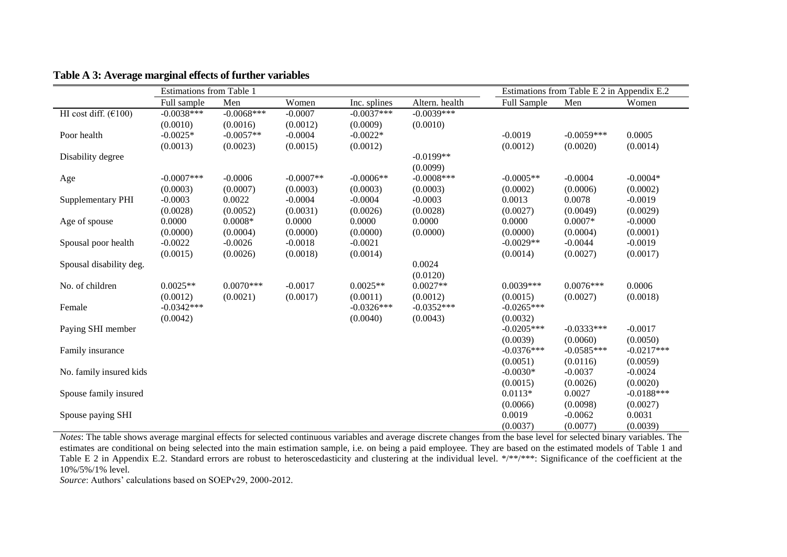|                          | Estimations from Table 1 |              |             | Estimations from Table E 2 in Appendix E.2 |                |              |              |              |
|--------------------------|--------------------------|--------------|-------------|--------------------------------------------|----------------|--------------|--------------|--------------|
|                          | Full sample              | Men          | Women       | Inc. splines                               | Altern. health | Full Sample  | Men          | Women        |
| HI cost diff. $(6100)$   | $-0.0038***$             | $-0.0068***$ | $-0.0007$   | $-0.0037***$                               | $-0.0039***$   |              |              |              |
|                          | (0.0010)                 | (0.0016)     | (0.0012)    | (0.0009)                                   | (0.0010)       |              |              |              |
| Poor health              | $-0.0025*$               | $-0.0057**$  | $-0.0004$   | $-0.0022*$                                 |                | $-0.0019$    | $-0.0059***$ | 0.0005       |
|                          | (0.0013)                 | (0.0023)     | (0.0015)    | (0.0012)                                   |                | (0.0012)     | (0.0020)     | (0.0014)     |
| Disability degree        |                          |              |             |                                            | $-0.0199**$    |              |              |              |
|                          |                          |              |             |                                            | (0.0099)       |              |              |              |
| Age                      | $-0.0007$ ***            | $-0.0006$    | $-0.0007**$ | $-0.0006**$                                | $-0.0008$ ***  | $-0.0005**$  | $-0.0004$    | $-0.0004*$   |
|                          | (0.0003)                 | (0.0007)     | (0.0003)    | (0.0003)                                   | (0.0003)       | (0.0002)     | (0.0006)     | (0.0002)     |
| <b>Supplementary PHI</b> | $-0.0003$                | 0.0022       | $-0.0004$   | $-0.0004$                                  | $-0.0003$      | 0.0013       | 0.0078       | $-0.0019$    |
|                          | (0.0028)                 | (0.0052)     | (0.0031)    | (0.0026)                                   | (0.0028)       | (0.0027)     | (0.0049)     | (0.0029)     |
| Age of spouse            | 0.0000                   | $0.0008*$    | 0.0000      | 0.0000                                     | 0.0000         | 0.0000       | $0.0007*$    | $-0.0000$    |
|                          | (0.0000)                 | (0.0004)     | (0.0000)    | (0.0000)                                   | (0.0000)       | (0.0000)     | (0.0004)     | (0.0001)     |
| Spousal poor health      | $-0.0022$                | $-0.0026$    | $-0.0018$   | $-0.0021$                                  |                | $-0.0029**$  | $-0.0044$    | $-0.0019$    |
|                          | (0.0015)                 | (0.0026)     | (0.0018)    | (0.0014)                                   |                | (0.0014)     | (0.0027)     | (0.0017)     |
| Spousal disability deg.  |                          |              |             |                                            | 0.0024         |              |              |              |
|                          |                          |              |             |                                            | (0.0120)       |              |              |              |
| No. of children          | $0.0025**$               | $0.0070***$  | $-0.0017$   | $0.0025**$                                 | $0.0027**$     | $0.0039***$  | $0.0076***$  | 0.0006       |
|                          | (0.0012)                 | (0.0021)     | (0.0017)    | (0.0011)                                   | (0.0012)       | (0.0015)     | (0.0027)     | (0.0018)     |
| Female                   | $-0.0342***$             |              |             | $-0.0326***$                               | $-0.0352***$   | $-0.0265***$ |              |              |
|                          | (0.0042)                 |              |             | (0.0040)                                   | (0.0043)       | (0.0032)     |              |              |
| Paying SHI member        |                          |              |             |                                            |                | $-0.0205***$ | $-0.0333***$ | $-0.0017$    |
|                          |                          |              |             |                                            |                | (0.0039)     | (0.0060)     | (0.0050)     |
| Family insurance         |                          |              |             |                                            |                | $-0.0376***$ | $-0.0585***$ | $-0.0217***$ |
|                          |                          |              |             |                                            |                | (0.0051)     | (0.0116)     | (0.0059)     |
| No. family insured kids  |                          |              |             |                                            |                | $-0.0030*$   | $-0.0037$    | $-0.0024$    |
|                          |                          |              |             |                                            |                | (0.0015)     | (0.0026)     | (0.0020)     |
| Spouse family insured    |                          |              |             |                                            |                | $0.0113*$    | 0.0027       | $-0.0188***$ |
|                          |                          |              |             |                                            |                | (0.0066)     | (0.0098)     | (0.0027)     |
| Spouse paying SHI        |                          |              |             |                                            |                | 0.0019       | $-0.0062$    | 0.0031       |
|                          |                          |              |             |                                            |                | (0.0037)     | (0.0077)     | (0.0039)     |

**Table A 3: Average marginal effects of further variables**

*Notes*: The table shows average marginal effects for selected continuous variables and average discrete changes from the base level for selected binary variables. The estimates are conditional on being selected into the main estimation sample, i.e. on being a paid employee. They are based on the estimated models of Table 1 and Table E 2 in Appendix E.2. Standard errors are robust to heteroscedasticity and clustering at the individual level. \*/\*\*/\*\*\*: Significance of the coefficient at the 10%/5%/1% level.

*Source*: Authors' calculations based on SOEPv29, 2000-2012.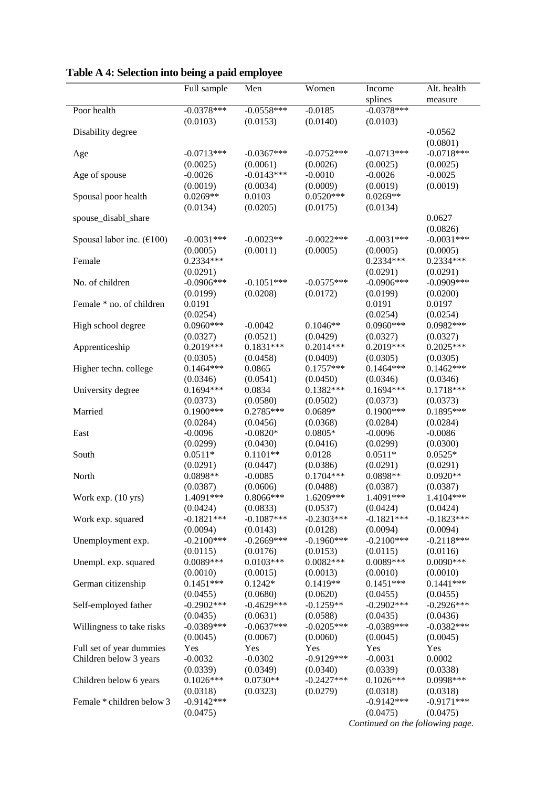|                                                | Full sample             | Men                | Women                   | Income                           | Alt. health             |
|------------------------------------------------|-------------------------|--------------------|-------------------------|----------------------------------|-------------------------|
|                                                |                         |                    |                         | splines                          | measure                 |
| Poor health                                    | $-0.0378***$            | $-0.0558***$       | $-0.0185$               | $-0.0378***$                     |                         |
|                                                | (0.0103)                | (0.0153)           | (0.0140)                | (0.0103)                         |                         |
| Disability degree                              |                         |                    |                         |                                  | $-0.0562$               |
|                                                |                         |                    |                         |                                  | (0.0801)                |
| Age                                            | $-0.0713***$            | $-0.0367***$       | $-0.0752***$            | $-0.0713***$                     | $-0.0718***$            |
|                                                | (0.0025)                | (0.0061)           | (0.0026)                | (0.0025)                         | (0.0025)                |
| Age of spouse                                  | $-0.0026$               | $-0.0143***$       | $-0.0010$               | $-0.0026$                        | $-0.0025$               |
|                                                | (0.0019)                | (0.0034)           | (0.0009)                | (0.0019)                         | (0.0019)                |
| Spousal poor health                            | $0.0269**$              | 0.0103             | $0.0520***$             | $0.0269**$                       |                         |
|                                                | (0.0134)                | (0.0205)           | (0.0175)                | (0.0134)                         |                         |
| spouse_disabl_share                            |                         |                    |                         |                                  | 0.0627                  |
|                                                |                         |                    |                         |                                  | (0.0826)                |
| Spousal labor inc. $(\text{\textsterling}100)$ | $-0.0031***$            | $-0.0023**$        | $-0.0022***$            | $-0.0031***$                     | $-0.0031***$            |
|                                                | (0.0005)                | (0.0011)           | (0.0005)                | (0.0005)                         | (0.0005)                |
| Female                                         | $0.2334***$             |                    |                         | 0.2334***                        | 0.2334***               |
|                                                | (0.0291)                |                    |                         | (0.0291)                         | (0.0291)                |
| No. of children                                | $-0.0906***$            | $-0.1051***$       | $-0.0575***$            | $-0.0906***$                     | $-0.0909$ ***           |
|                                                | (0.0199)                | (0.0208)           | (0.0172)                | (0.0199)                         | (0.0200)                |
| Female * no. of children                       | 0.0191                  |                    |                         | 0.0191                           | 0.0197                  |
|                                                | (0.0254)                |                    |                         | (0.0254)                         | (0.0254)                |
| High school degree                             | $0.0960***$             | $-0.0042$          | $0.1046**$              | $0.0960***$                      | $0.0982***$             |
|                                                | (0.0327)                | (0.0521)           | (0.0429)                | (0.0327)                         | (0.0327)                |
| Apprenticeship                                 | 0.2019***               | $0.1831***$        | $0.2014***$             | 0.2019***                        | $0.2025***$             |
|                                                | (0.0305)                | (0.0458)           | (0.0409)                | (0.0305)<br>$0.1464***$          | (0.0305)<br>$0.1462***$ |
| Higher techn. college                          | $0.1464***$             | 0.0865             | $0.1757***$             |                                  |                         |
|                                                | (0.0346)<br>$0.1694***$ | (0.0541)<br>0.0834 | (0.0450)<br>$0.1382***$ | (0.0346)<br>$0.1694***$          | (0.0346)<br>$0.1718***$ |
| University degree                              | (0.0373)                | (0.0580)           | (0.0502)                | (0.0373)                         | (0.0373)                |
| Married                                        | $0.1900***$             | $0.2785***$        | $0.0689*$               | $0.1900***$                      | 0.1895***               |
|                                                | (0.0284)                | (0.0456)           | (0.0368)                | (0.0284)                         | (0.0284)                |
| East                                           | $-0.0096$               | $-0.0820*$         | $0.0805*$               | $-0.0096$                        | $-0.0086$               |
|                                                | (0.0299)                | (0.0430)           | (0.0416)                | (0.0299)                         | (0.0300)                |
| South                                          | $0.0511*$               | $0.1101**$         | 0.0128                  | $0.0511*$                        | $0.0525*$               |
|                                                | (0.0291)                | (0.0447)           | (0.0386)                | (0.0291)                         | (0.0291)                |
| North                                          | 0.0898**                | $-0.0085$          | $0.1704***$             | 0.0898**                         | $0.0920**$              |
|                                                | (0.0387)                | (0.0606)           | (0.0488)                | (0.0387)                         | (0.0387)                |
| Work exp. (10 yrs)                             | 1.4091***               | 0.8066***          | 1.6209***               | 1.4091***                        | 1.4104***               |
|                                                | (0.0424)                | (0.0833)           | (0.0537)                | (0.0424)                         | (0.0424)                |
| Work exp. squared                              | $-0.1821***$            | $-0.1087***$       | $-0.2303***$            | $-0.1821***$                     | $-0.1823***$            |
|                                                | (0.0094)                | (0.0143)           | (0.0128)                | (0.0094)                         | (0.0094)                |
| Unemployment exp.                              | $-0.2100***$            | $-0.2669***$       | $-0.1960***$            | $-0.2100***$                     | $-0.2118***$            |
|                                                | (0.0115)                | (0.0176)           | (0.0153)                | (0.0115)                         | (0.0116)                |
| Unempl. exp. squared                           | $0.0089***$             | $0.0103***$        | $0.0082***$             | $0.0089***$                      | $0.0090***$             |
|                                                | (0.0010)                | (0.0015)           | (0.0013)                | (0.0010)                         | (0.0010)                |
| German citizenship                             | $0.1451***$             | $0.1242*$          | $0.1419**$              | $0.1451***$                      | $0.1441***$             |
|                                                | (0.0455)                | (0.0680)           | (0.0620)                | (0.0455)                         | (0.0455)                |
| Self-employed father                           | $-0.2902$ ***           | $-0.4629***$       | $-0.1259**$             | $-0.2902***$                     | $-0.2926***$            |
|                                                | (0.0435)                | (0.0631)           | (0.0588)                | (0.0435)                         | (0.0436)                |
| Willingness to take risks                      | $-0.0389***$            | $-0.0637***$       | $-0.0205***$            | $-0.0389***$                     | $-0.0382***$            |
|                                                | (0.0045)                | (0.0067)           | (0.0060)                | (0.0045)                         | (0.0045)                |
| Full set of year dummies                       | Yes                     | Yes                | Yes                     | Yes                              | Yes                     |
| Children below 3 years                         | $-0.0032$               | $-0.0302$          | $-0.9129***$            | $-0.0031$                        | 0.0002                  |
|                                                | (0.0339)                | (0.0349)           | (0.0340)                | (0.0339)                         | (0.0338)                |
| Children below 6 years                         | $0.1026***$             | $0.0730**$         | $-0.2427***$            | $0.1026***$                      | 0.0998***               |
|                                                | (0.0318)                | (0.0323)           | (0.0279)                | (0.0318)                         | (0.0318)                |
| Female * children below 3                      | $-0.9142***$            |                    |                         | $-0.9142***$                     | $-0.9171***$            |
|                                                | (0.0475)                |                    |                         | (0.0475)                         | (0.0475)                |
|                                                |                         |                    |                         | Continued on the following page. |                         |

**Table A 4: Selection into being a paid employee**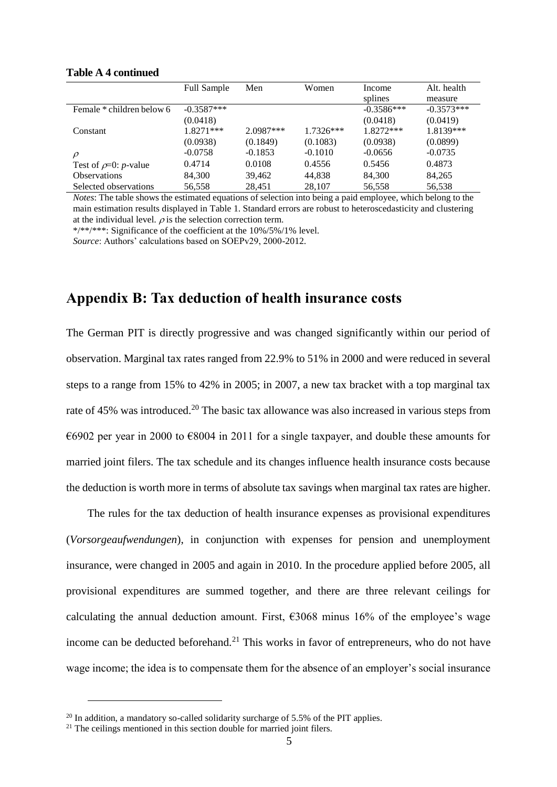|                            | <b>Full Sample</b> | Men         | Women       | Income       | Alt. health  |
|----------------------------|--------------------|-------------|-------------|--------------|--------------|
|                            |                    |             |             | splines      | measure      |
| Female * children below 6  | $-0.3587***$       |             |             | $-0.3586***$ | $-0.3573***$ |
|                            | (0.0418)           |             |             | (0.0418)     | (0.0419)     |
| Constant                   | $1.8271***$        | $2.0987***$ | $1.7326***$ | 1.8272***    | 1.8139***    |
|                            | (0.0938)           | (0.1849)    | (0.1083)    | (0.0938)     | (0.0899)     |
| $\rho$                     | $-0.0758$          | $-0.1853$   | $-0.1010$   | $-0.0656$    | $-0.0735$    |
| Test of $\rho=0$ : p-value | 0.4714             | 0.0108      | 0.4556      | 0.5456       | 0.4873       |
| <b>Observations</b>        | 84.300             | 39,462      | 44.838      | 84,300       | 84,265       |
| Selected observations      | 56.558             | 28,451      | 28.107      | 56,558       | 56,538       |

### **Table A 4 continued**

*Notes*: The table shows the estimated equations of selection into being a paid employee, which belong to the main estimation results displayed in Table 1. Standard errors are robust to heteroscedasticity and clustering at the individual level.  $\rho$  is the selection correction term.

\*/\*\*/\*\*\*: Significance of the coefficient at the 10%/5%/1% level.

*Source*: Authors' calculations based on SOEPv29, 2000-2012.

## **Appendix B: Tax deduction of health insurance costs**

The German PIT is directly progressive and was changed significantly within our period of observation. Marginal tax rates ranged from 22.9% to 51% in 2000 and were reduced in several steps to a range from 15% to 42% in 2005; in 2007, a new tax bracket with a top marginal tax rate of 45% was introduced.<sup>20</sup> The basic tax allowance was also increased in various steps from  $\epsilon$ 6902 per year in 2000 to  $\epsilon$ 8004 in 2011 for a single taxpayer, and double these amounts for married joint filers. The tax schedule and its changes influence health insurance costs because the deduction is worth more in terms of absolute tax savings when marginal tax rates are higher.

The rules for the tax deduction of health insurance expenses as provisional expenditures (*Vorsorgeaufwendungen*), in conjunction with expenses for pension and unemployment insurance, were changed in 2005 and again in 2010. In the procedure applied before 2005, all provisional expenditures are summed together, and there are three relevant ceilings for calculating the annual deduction amount. First,  $\epsilon$ 3068 minus 16% of the employee's wage income can be deducted beforehand.<sup>21</sup> This works in favor of entrepreneurs, who do not have wage income; the idea is to compensate them for the absence of an employer's social insurance

 $20$  In addition, a mandatory so-called solidarity surcharge of 5.5% of the PIT applies.

 $21$  The ceilings mentioned in this section double for married joint filers.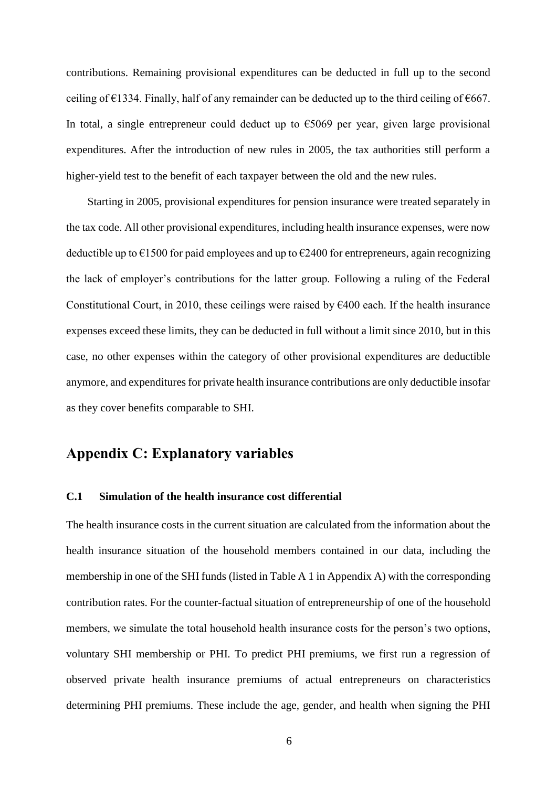contributions. Remaining provisional expenditures can be deducted in full up to the second ceiling of  $\epsilon$ 1334. Finally, half of any remainder can be deducted up to the third ceiling of  $\epsilon$ 667. In total, a single entrepreneur could deduct up to  $\epsilon$ 5069 per year, given large provisional expenditures. After the introduction of new rules in 2005, the tax authorities still perform a higher-yield test to the benefit of each taxpayer between the old and the new rules.

Starting in 2005, provisional expenditures for pension insurance were treated separately in the tax code. All other provisional expenditures, including health insurance expenses, were now deductible up to  $\epsilon$ 1500 for paid employees and up to  $\epsilon$ 2400 for entrepreneurs, again recognizing the lack of employer's contributions for the latter group. Following a ruling of the Federal Constitutional Court, in 2010, these ceilings were raised by  $\epsilon$ 400 each. If the health insurance expenses exceed these limits, they can be deducted in full without a limit since 2010, but in this case, no other expenses within the category of other provisional expenditures are deductible anymore, and expenditures for private health insurance contributions are only deductible insofar as they cover benefits comparable to SHI.

## **Appendix C: Explanatory variables**

### **C.1 Simulation of the health insurance cost differential**

The health insurance costs in the current situation are calculated from the information about the health insurance situation of the household members contained in our data, including the membership in one of the SHI funds (listed in Table A 1 in Appendix A) with the corresponding contribution rates. For the counter-factual situation of entrepreneurship of one of the household members, we simulate the total household health insurance costs for the person's two options, voluntary SHI membership or PHI. To predict PHI premiums, we first run a regression of observed private health insurance premiums of actual entrepreneurs on characteristics determining PHI premiums. These include the age, gender, and health when signing the PHI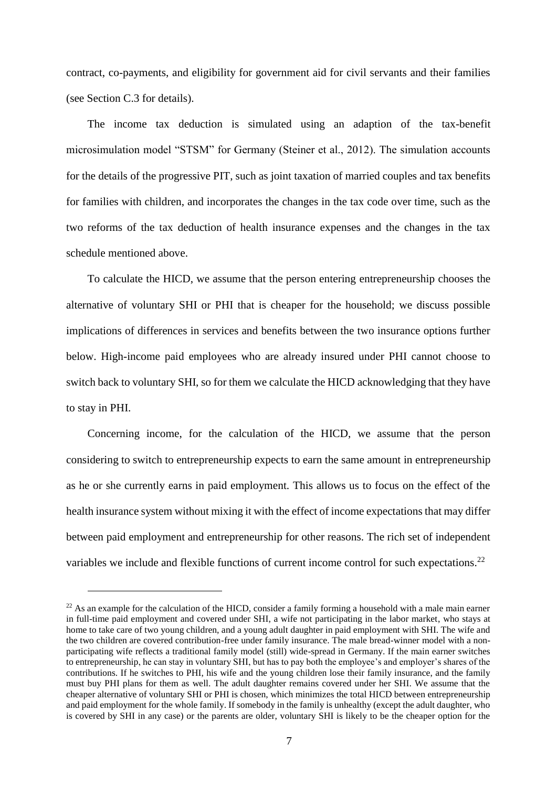contract, co-payments, and eligibility for government aid for civil servants and their families (see Section C.3 for details).

The income tax deduction is simulated using an adaption of the tax-benefit microsimulation model "STSM" for Germany (Steiner et al., 2012). The simulation accounts for the details of the progressive PIT, such as joint taxation of married couples and tax benefits for families with children, and incorporates the changes in the tax code over time, such as the two reforms of the tax deduction of health insurance expenses and the changes in the tax schedule mentioned above.

To calculate the HICD, we assume that the person entering entrepreneurship chooses the alternative of voluntary SHI or PHI that is cheaper for the household; we discuss possible implications of differences in services and benefits between the two insurance options further below. High-income paid employees who are already insured under PHI cannot choose to switch back to voluntary SHI, so for them we calculate the HICD acknowledging that they have to stay in PHI.

Concerning income, for the calculation of the HICD, we assume that the person considering to switch to entrepreneurship expects to earn the same amount in entrepreneurship as he or she currently earns in paid employment. This allows us to focus on the effect of the health insurance system without mixing it with the effect of income expectations that may differ between paid employment and entrepreneurship for other reasons. The rich set of independent variables we include and flexible functions of current income control for such expectations.<sup>22</sup>

 $^{22}$  As an example for the calculation of the HICD, consider a family forming a household with a male main earner in full-time paid employment and covered under SHI, a wife not participating in the labor market, who stays at home to take care of two young children, and a young adult daughter in paid employment with SHI. The wife and the two children are covered contribution-free under family insurance. The male bread-winner model with a nonparticipating wife reflects a traditional family model (still) wide-spread in Germany. If the main earner switches to entrepreneurship, he can stay in voluntary SHI, but has to pay both the employee's and employer's shares of the contributions. If he switches to PHI, his wife and the young children lose their family insurance, and the family must buy PHI plans for them as well. The adult daughter remains covered under her SHI. We assume that the cheaper alternative of voluntary SHI or PHI is chosen, which minimizes the total HICD between entrepreneurship and paid employment for the whole family. If somebody in the family is unhealthy (except the adult daughter, who is covered by SHI in any case) or the parents are older, voluntary SHI is likely to be the cheaper option for the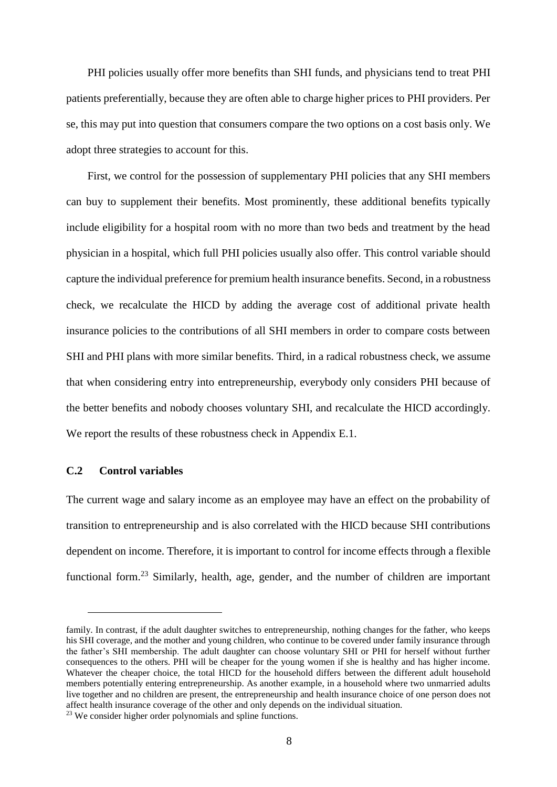PHI policies usually offer more benefits than SHI funds, and physicians tend to treat PHI patients preferentially, because they are often able to charge higher prices to PHI providers. Per se, this may put into question that consumers compare the two options on a cost basis only. We adopt three strategies to account for this.

First, we control for the possession of supplementary PHI policies that any SHI members can buy to supplement their benefits. Most prominently, these additional benefits typically include eligibility for a hospital room with no more than two beds and treatment by the head physician in a hospital, which full PHI policies usually also offer. This control variable should capture the individual preference for premium health insurance benefits. Second, in a robustness check, we recalculate the HICD by adding the average cost of additional private health insurance policies to the contributions of all SHI members in order to compare costs between SHI and PHI plans with more similar benefits. Third, in a radical robustness check, we assume that when considering entry into entrepreneurship, everybody only considers PHI because of the better benefits and nobody chooses voluntary SHI, and recalculate the HICD accordingly. We report the results of these robustness check in Appendix E.1.

### **C.2 Control variables**

 $\overline{a}$ 

The current wage and salary income as an employee may have an effect on the probability of transition to entrepreneurship and is also correlated with the HICD because SHI contributions dependent on income. Therefore, it is important to control for income effects through a flexible functional form.<sup>23</sup> Similarly, health, age, gender, and the number of children are important

family. In contrast, if the adult daughter switches to entrepreneurship, nothing changes for the father, who keeps his SHI coverage, and the mother and young children, who continue to be covered under family insurance through the father's SHI membership. The adult daughter can choose voluntary SHI or PHI for herself without further consequences to the others. PHI will be cheaper for the young women if she is healthy and has higher income. Whatever the cheaper choice, the total HICD for the household differs between the different adult household members potentially entering entrepreneurship. As another example, in a household where two unmarried adults live together and no children are present, the entrepreneurship and health insurance choice of one person does not affect health insurance coverage of the other and only depends on the individual situation.

<sup>&</sup>lt;sup>23</sup> We consider higher order polynomials and spline functions.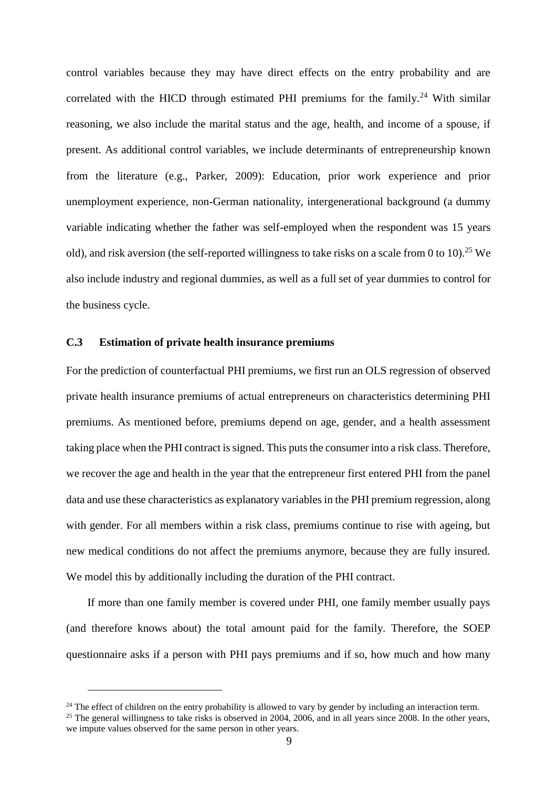control variables because they may have direct effects on the entry probability and are correlated with the HICD through estimated PHI premiums for the family.<sup>24</sup> With similar reasoning, we also include the marital status and the age, health, and income of a spouse, if present. As additional control variables, we include determinants of entrepreneurship known from the literature (e.g., Parker, 2009): Education, prior work experience and prior unemployment experience, non-German nationality, intergenerational background (a dummy variable indicating whether the father was self-employed when the respondent was 15 years old), and risk aversion (the self-reported willingness to take risks on a scale from 0 to 10).<sup>25</sup> We also include industry and regional dummies, as well as a full set of year dummies to control for the business cycle.

#### **C.3 Estimation of private health insurance premiums**

 $\overline{a}$ 

For the prediction of counterfactual PHI premiums, we first run an OLS regression of observed private health insurance premiums of actual entrepreneurs on characteristics determining PHI premiums. As mentioned before, premiums depend on age, gender, and a health assessment taking place when the PHI contract is signed. This puts the consumer into a risk class. Therefore, we recover the age and health in the year that the entrepreneur first entered PHI from the panel data and use these characteristics as explanatory variables in the PHI premium regression, along with gender. For all members within a risk class, premiums continue to rise with ageing, but new medical conditions do not affect the premiums anymore, because they are fully insured. We model this by additionally including the duration of the PHI contract.

If more than one family member is covered under PHI, one family member usually pays (and therefore knows about) the total amount paid for the family. Therefore, the SOEP questionnaire asks if a person with PHI pays premiums and if so, how much and how many

 $^{24}$  The effect of children on the entry probability is allowed to vary by gender by including an interaction term. <sup>25</sup> The general willingness to take risks is observed in 2004, 2006, and in all years since  $\frac{1}{2008}$ . In the other years, we impute values observed for the same person in other years.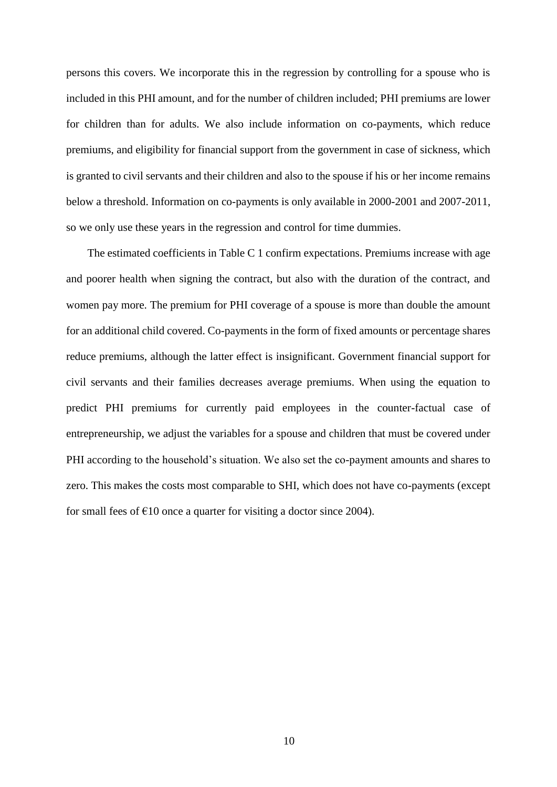persons this covers. We incorporate this in the regression by controlling for a spouse who is included in this PHI amount, and for the number of children included; PHI premiums are lower for children than for adults. We also include information on co-payments, which reduce premiums, and eligibility for financial support from the government in case of sickness, which is granted to civil servants and their children and also to the spouse if his or her income remains below a threshold. Information on co-payments is only available in 2000-2001 and 2007-2011, so we only use these years in the regression and control for time dummies.

The estimated coefficients in Table C 1 confirm expectations. Premiums increase with age and poorer health when signing the contract, but also with the duration of the contract, and women pay more. The premium for PHI coverage of a spouse is more than double the amount for an additional child covered. Co-payments in the form of fixed amounts or percentage shares reduce premiums, although the latter effect is insignificant. Government financial support for civil servants and their families decreases average premiums. When using the equation to predict PHI premiums for currently paid employees in the counter-factual case of entrepreneurship, we adjust the variables for a spouse and children that must be covered under PHI according to the household's situation. We also set the co-payment amounts and shares to zero. This makes the costs most comparable to SHI, which does not have co-payments (except for small fees of  $\epsilon$ 10 once a quarter for visiting a doctor since 2004).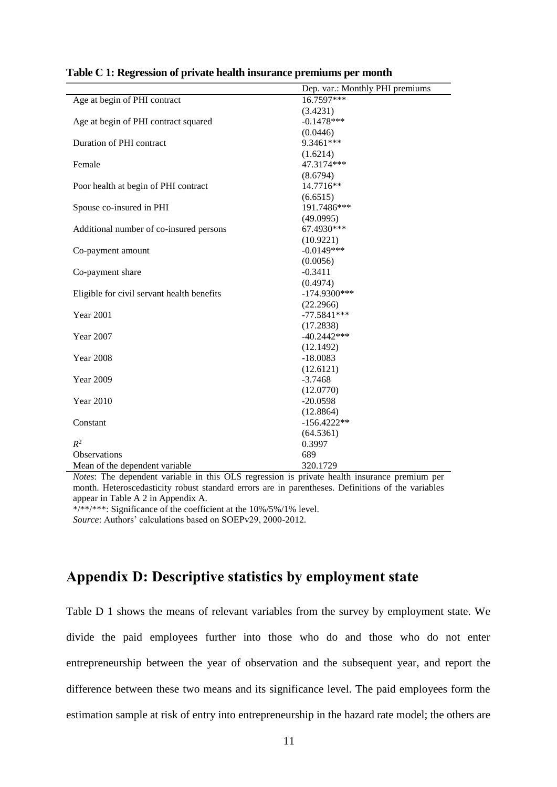|                                            | Dep. var.: Monthly PHI premiums |
|--------------------------------------------|---------------------------------|
| Age at begin of PHI contract               | 16.7597***                      |
|                                            | (3.4231)                        |
| Age at begin of PHI contract squared       | $-0.1478***$                    |
|                                            | (0.0446)                        |
| Duration of PHI contract                   | 9.3461***                       |
|                                            | (1.6214)                        |
| Female                                     | 47.3174***                      |
|                                            | (8.6794)                        |
| Poor health at begin of PHI contract       | 14.7716**                       |
|                                            | (6.6515)                        |
| Spouse co-insured in PHI                   | 191.7486***                     |
|                                            | (49.0995)                       |
| Additional number of co-insured persons    | 67.4930***                      |
|                                            | (10.9221)                       |
| Co-payment amount                          | $-0.0149***$                    |
|                                            | (0.0056)                        |
| Co-payment share                           | $-0.3411$                       |
|                                            | (0.4974)                        |
| Eligible for civil servant health benefits | $-174.9300***$                  |
|                                            | (22.2966)                       |
| <b>Year 2001</b>                           | $-77.5841***$                   |
|                                            | (17.2838)                       |
| Year 2007                                  | $-40.2442***$                   |
|                                            | (12.1492)                       |
| <b>Year 2008</b>                           | $-18.0083$                      |
|                                            | (12.6121)                       |
| Year 2009                                  | $-3.7468$                       |
|                                            | (12.0770)                       |
| <b>Year 2010</b>                           | $-20.0598$                      |
|                                            | (12.8864)                       |
| Constant                                   | $-156.4222**$                   |
|                                            | (64.5361)                       |
| $R^2$                                      | 0.3997                          |
| <b>Observations</b>                        | 689                             |
| Mean of the dependent variable             | 320.1729                        |

|  | Table C 1: Regression of private health insurance premiums per month |  |  |
|--|----------------------------------------------------------------------|--|--|
|  |                                                                      |  |  |

*Notes*: The dependent variable in this OLS regression is private health insurance premium per month. Heteroscedasticity robust standard errors are in parentheses. Definitions of the variables appear in Table A 2 in Appendix A.

\*/\*\*/\*\*\*: Significance of the coefficient at the  $10\%/5\%/1\%$  level. *Source*: Authors' calculations based on SOEPv29, 2000-2012.

## **Appendix D: Descriptive statistics by employment state**

Table D 1 shows the means of relevant variables from the survey by employment state. We divide the paid employees further into those who do and those who do not enter entrepreneurship between the year of observation and the subsequent year, and report the difference between these two means and its significance level. The paid employees form the estimation sample at risk of entry into entrepreneurship in the hazard rate model; the others are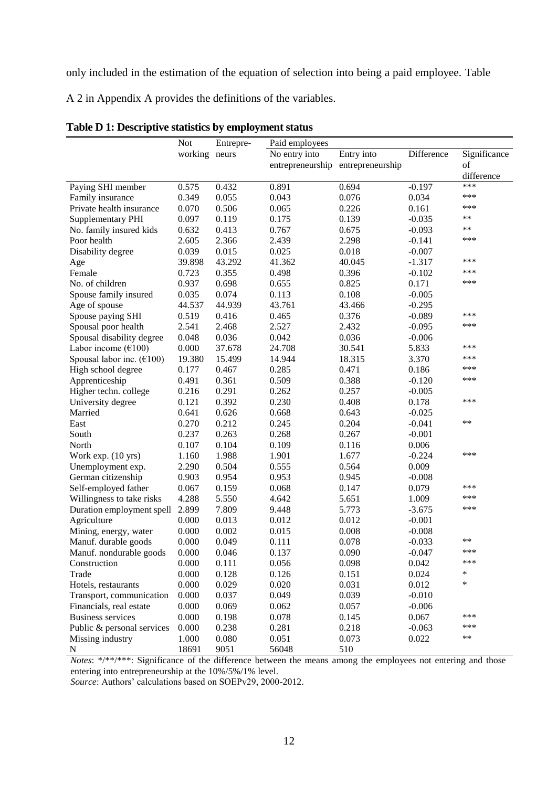only included in the estimation of the equation of selection into being a paid employee. Table

A 2 in Appendix A provides the definitions of the variables.

|                                                | Not     | Entrepre- | Paid employees                    |            |            |              |
|------------------------------------------------|---------|-----------|-----------------------------------|------------|------------|--------------|
|                                                | working | neurs     | No entry into                     | Entry into | Difference | Significance |
|                                                |         |           | entrepreneurship entrepreneurship |            |            | of           |
|                                                |         |           |                                   |            |            | difference   |
| Paying SHI member                              | 0.575   | 0.432     | 0.891                             | 0.694      | $-0.197$   | ***          |
| Family insurance                               | 0.349   | 0.055     | 0.043                             | 0.076      | 0.034      | ***          |
| Private health insurance                       | 0.070   | 0.506     | 0.065                             | 0.226      | 0.161      | ***          |
| Supplementary PHI                              | 0.097   | 0.119     | 0.175                             | 0.139      | $-0.035$   | **           |
| No. family insured kids                        | 0.632   | 0.413     | 0.767                             | 0.675      | $-0.093$   | **           |
| Poor health                                    | 2.605   | 2.366     | 2.439                             | 2.298      | $-0.141$   | ***          |
| Disability degree                              | 0.039   | 0.015     | 0.025                             | 0.018      | $-0.007$   |              |
| Age                                            | 39.898  | 43.292    | 41.362                            | 40.045     | $-1.317$   | ***          |
| Female                                         | 0.723   | 0.355     | 0.498                             | 0.396      | $-0.102$   | ***          |
| No. of children                                | 0.937   | 0.698     | 0.655                             | 0.825      | 0.171      | ***          |
| Spouse family insured                          | 0.035   | 0.074     | 0.113                             | 0.108      | $-0.005$   |              |
| Age of spouse                                  | 44.537  | 44.939    | 43.761                            | 43.466     | $-0.295$   |              |
| Spouse paying SHI                              | 0.519   | 0.416     | 0.465                             | 0.376      | $-0.089$   | ***          |
| Spousal poor health                            | 2.541   | 2.468     | 2.527                             | 2.432      | $-0.095$   | ***          |
| Spousal disability degree                      | 0.048   | 0.036     | 0.042                             | 0.036      | $-0.006$   |              |
| Labor income $(\text{\textsterling}100)$       | 0.000   | 37.678    | 24.708                            | 30.541     | 5.833      | ***          |
| Spousal labor inc. $(\text{\textsterling}100)$ | 19.380  | 15.499    | 14.944                            | 18.315     | 3.370      | ***          |
| High school degree                             | 0.177   | 0.467     | 0.285                             | 0.471      | 0.186      | ***          |
| Apprenticeship                                 | 0.491   | 0.361     | 0.509                             | 0.388      | $-0.120$   | ***          |
| Higher techn. college                          | 0.216   | 0.291     | 0.262                             | 0.257      | $-0.005$   |              |
| University degree                              | 0.121   | 0.392     | 0.230                             | 0.408      | 0.178      | ***          |
| Married                                        | 0.641   | 0.626     | 0.668                             | 0.643      | $-0.025$   |              |
| East                                           | 0.270   | 0.212     | 0.245                             | 0.204      | $-0.041$   | **           |
| South                                          | 0.237   | 0.263     | 0.268                             | 0.267      | $-0.001$   |              |
| North                                          | 0.107   | 0.104     | 0.109                             | 0.116      | 0.006      |              |
| Work exp. (10 yrs)                             | 1.160   | 1.988     | 1.901                             | 1.677      | $-0.224$   | ***          |
| Unemployment exp.                              | 2.290   | 0.504     | 0.555                             | 0.564      | 0.009      |              |
| German citizenship                             | 0.903   | 0.954     | 0.953                             | 0.945      | $-0.008$   |              |
| Self-employed father                           | 0.067   | 0.159     | 0.068                             | 0.147      | 0.079      | ***          |
| Willingness to take risks                      | 4.288   | 5.550     | 4.642                             | 5.651      | 1.009      | ***          |
| Duration employment spell                      | 2.899   | 7.809     | 9.448                             | 5.773      | $-3.675$   | ***          |
| Agriculture                                    | 0.000   | 0.013     | 0.012                             | 0.012      | $-0.001$   |              |
| Mining, energy, water                          | 0.000   | 0.002     | 0.015                             | 0.008      | $-0.008$   |              |
| Manuf. durable goods                           | 0.000   | 0.049     | 0.111                             | 0.078      | $-0.033$   | **           |
| Manuf. nondurable goods                        | 0.000   | 0.046     | 0.137                             | 0.090      | $-0.047$   | ***          |
| Construction                                   | 0.000   | 0.111     | 0.056                             | 0.098      | 0.042      | ***          |
| Trade                                          | 0.000   | 0.128     | 0.126                             | 0.151      | 0.024      | $\ast$       |
| Hotels, restaurants                            | 0.000   | 0.029     | 0.020                             | 0.031      | 0.012      | *            |
| Transport, communication                       | 0.000   | 0.037     | 0.049                             | 0.039      | $-0.010$   |              |
| Financials, real estate                        | 0.000   | 0.069     | 0.062                             | 0.057      | $-0.006$   |              |
| <b>Business services</b>                       | 0.000   | 0.198     | 0.078                             | 0.145      | 0.067      | ***          |
| Public & personal services                     | 0.000   | 0.238     | 0.281                             | 0.218      | $-0.063$   | ***          |
| Missing industry                               | 1.000   | 0.080     | 0.051                             | 0.073      | 0.022      | **           |
| N                                              | 18691   | 9051      | 56048                             | 510        |            |              |
|                                                |         |           |                                   |            |            |              |

|  | Table D 1: Descriptive statistics by employment status |  |  |  |
|--|--------------------------------------------------------|--|--|--|
|--|--------------------------------------------------------|--|--|--|

*Notes*: \*/\*\*/\*\*\*: Significance of the difference between the means among the employees not entering and those entering into entrepreneurship at the 10%/5%/1% level.

*Source*: Authors' calculations based on SOEPv29, 2000-2012.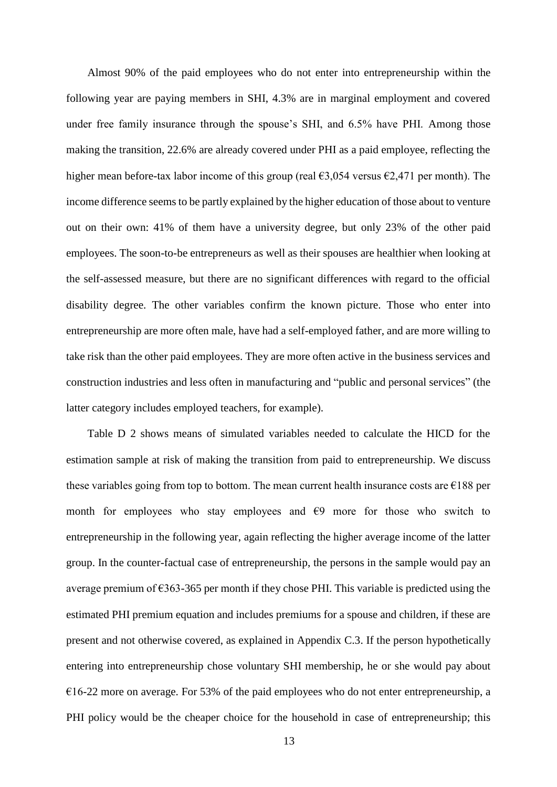Almost 90% of the paid employees who do not enter into entrepreneurship within the following year are paying members in SHI, 4.3% are in marginal employment and covered under free family insurance through the spouse's SHI, and 6.5% have PHI. Among those making the transition, 22.6% are already covered under PHI as a paid employee, reflecting the higher mean before-tax labor income of this group (real  $\epsilon$ 3,054 versus  $\epsilon$ 2,471 per month). The income difference seems to be partly explained by the higher education of those about to venture out on their own: 41% of them have a university degree, but only 23% of the other paid employees. The soon-to-be entrepreneurs as well as their spouses are healthier when looking at the self-assessed measure, but there are no significant differences with regard to the official disability degree. The other variables confirm the known picture. Those who enter into entrepreneurship are more often male, have had a self-employed father, and are more willing to take risk than the other paid employees. They are more often active in the business services and construction industries and less often in manufacturing and "public and personal services" (the latter category includes employed teachers, for example).

Table D 2 shows means of simulated variables needed to calculate the HICD for the estimation sample at risk of making the transition from paid to entrepreneurship. We discuss these variables going from top to bottom. The mean current health insurance costs are  $\epsilon$ 188 per month for employees who stay employees and  $\epsilon$ 9 more for those who switch to entrepreneurship in the following year, again reflecting the higher average income of the latter group. In the counter-factual case of entrepreneurship, the persons in the sample would pay an average premium of  $\epsilon$ 363-365 per month if they chose PHI. This variable is predicted using the estimated PHI premium equation and includes premiums for a spouse and children, if these are present and not otherwise covered, as explained in Appendix C.3. If the person hypothetically entering into entrepreneurship chose voluntary SHI membership, he or she would pay about  $€16-22$  more on average. For 53% of the paid employees who do not enter entrepreneurship, a PHI policy would be the cheaper choice for the household in case of entrepreneurship; this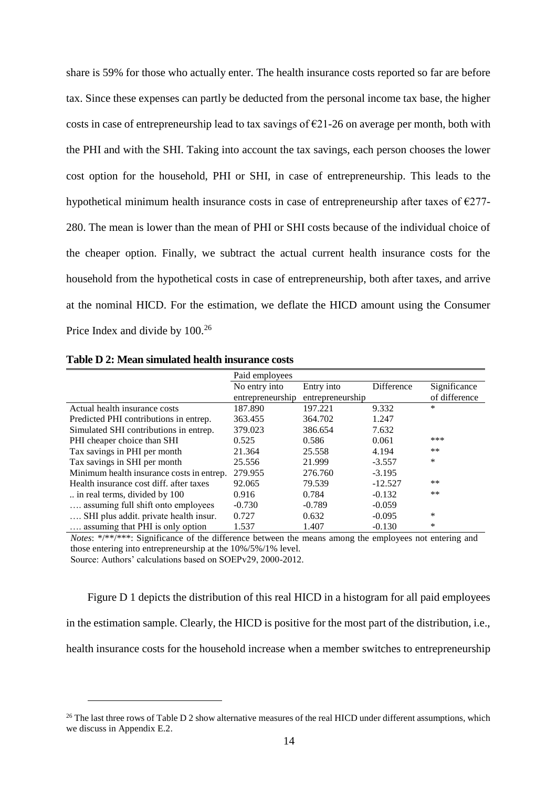share is 59% for those who actually enter. The health insurance costs reported so far are before tax. Since these expenses can partly be deducted from the personal income tax base, the higher costs in case of entrepreneurship lead to tax savings of  $\epsilon$ 21-26 on average per month, both with the PHI and with the SHI. Taking into account the tax savings, each person chooses the lower cost option for the household, PHI or SHI, in case of entrepreneurship. This leads to the hypothetical minimum health insurance costs in case of entrepreneurship after taxes of  $\epsilon$ 277-280. The mean is lower than the mean of PHI or SHI costs because of the individual choice of the cheaper option. Finally, we subtract the actual current health insurance costs for the household from the hypothetical costs in case of entrepreneurship, both after taxes, and arrive at the nominal HICD. For the estimation, we deflate the HICD amount using the Consumer Price Index and divide by  $100.<sup>26</sup>$ 

|                                           | Paid employees   |                  |            |               |
|-------------------------------------------|------------------|------------------|------------|---------------|
|                                           | No entry into    | Entry into       | Difference | Significance  |
|                                           | entrepreneurship | entrepreneurship |            | of difference |
| Actual health insurance costs             | 187.890          | 197.221          | 9.332      | *             |
| Predicted PHI contributions in entrep.    | 363.455          | 364.702          | 1.247      |               |
| Simulated SHI contributions in entrep.    | 379.023          | 386.654          | 7.632      |               |
| PHI cheaper choice than SHI               | 0.525            | 0.586            | 0.061      | ***           |
| Tax savings in PHI per month              | 21.364           | 25.558           | 4.194      | $***$         |
| Tax savings in SHI per month              | 25.556           | 21.999           | $-3.557$   | *             |
| Minimum health insurance costs in entrep. | 279.955          | 276.760          | $-3.195$   |               |
| Health insurance cost diff. after taxes   | 92.065           | 79.539           | $-12.527$  | **            |
| in real terms, divided by 100             | 0.916            | 0.784            | $-0.132$   | **            |
| assuming full shift onto employees        | $-0.730$         | $-0.789$         | $-0.059$   |               |
| SHI plus addit. private health insur.     | 0.727            | 0.632            | $-0.095$   | *             |
| assuming that PHI is only option          | 1.537            | 1.407            | $-0.130$   | ∗             |

**Table D 2: Mean simulated health insurance costs**

 $\overline{a}$ 

*Notes*: \*/\*\*/\*\*\*: Significance of the difference between the means among the employees not entering and those entering into entrepreneurship at the 10%/5%/1% level. Source: Authors' calculations based on SOEPv29, 2000-2012.

Figure D 1 depicts the distribution of this real HICD in a histogram for all paid employees in the estimation sample. Clearly, the HICD is positive for the most part of the distribution, i.e., health insurance costs for the household increase when a member switches to entrepreneurship

 $26$  The last three rows of Table D 2 show alternative measures of the real HICD under different assumptions, which we discuss in Appendix E.2.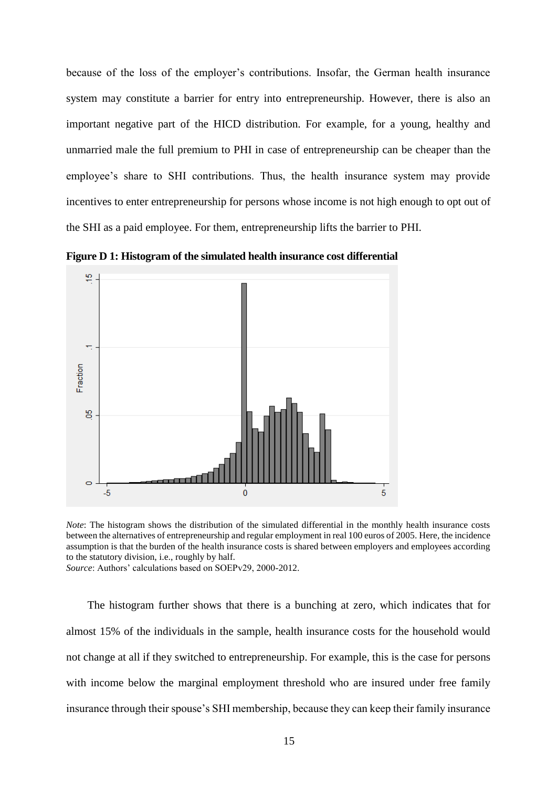because of the loss of the employer's contributions. Insofar, the German health insurance system may constitute a barrier for entry into entrepreneurship. However, there is also an important negative part of the HICD distribution. For example, for a young, healthy and unmarried male the full premium to PHI in case of entrepreneurship can be cheaper than the employee's share to SHI contributions. Thus, the health insurance system may provide incentives to enter entrepreneurship for persons whose income is not high enough to opt out of the SHI as a paid employee. For them, entrepreneurship lifts the barrier to PHI.

**Figure D 1: Histogram of the simulated health insurance cost differential**



*Note*: The histogram shows the distribution of the simulated differential in the monthly health insurance costs between the alternatives of entrepreneurship and regular employment in real 100 euros of 2005. Here, the incidence assumption is that the burden of the health insurance costs is shared between employers and employees according to the statutory division, i.e., roughly by half.

*Source*: Authors' calculations based on SOEPv29, 2000-2012.

The histogram further shows that there is a bunching at zero, which indicates that for almost 15% of the individuals in the sample, health insurance costs for the household would not change at all if they switched to entrepreneurship. For example, this is the case for persons with income below the marginal employment threshold who are insured under free family insurance through their spouse's SHI membership, because they can keep their family insurance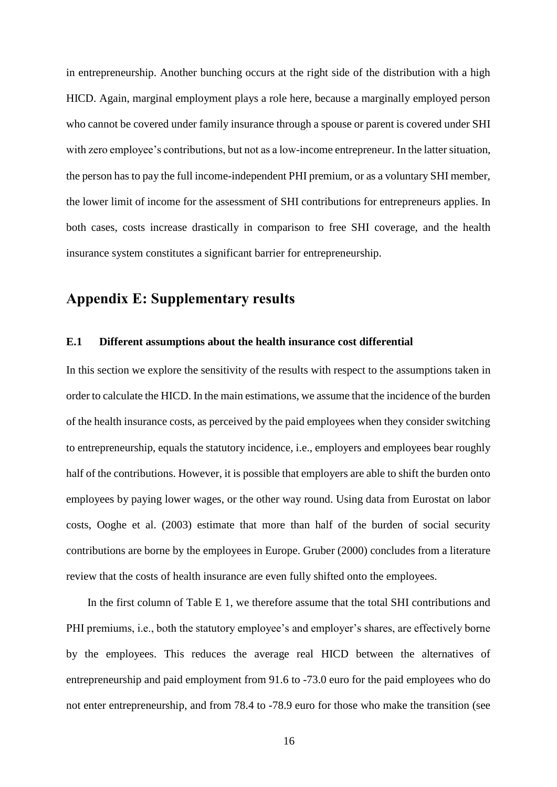in entrepreneurship. Another bunching occurs at the right side of the distribution with a high HICD. Again, marginal employment plays a role here, because a marginally employed person who cannot be covered under family insurance through a spouse or parent is covered under SHI with zero employee's contributions, but not as a low-income entrepreneur. In the latter situation, the person has to pay the full income-independent PHI premium, or as a voluntary SHI member, the lower limit of income for the assessment of SHI contributions for entrepreneurs applies. In both cases, costs increase drastically in comparison to free SHI coverage, and the health insurance system constitutes a significant barrier for entrepreneurship.

## **Appendix E: Supplementary results**

#### **E.1 Different assumptions about the health insurance cost differential**

In this section we explore the sensitivity of the results with respect to the assumptions taken in order to calculate the HICD. In the main estimations, we assume that the incidence of the burden of the health insurance costs, as perceived by the paid employees when they consider switching to entrepreneurship, equals the statutory incidence, i.e., employers and employees bear roughly half of the contributions. However, it is possible that employers are able to shift the burden onto employees by paying lower wages, or the other way round. Using data from Eurostat on labor costs, Ooghe et al. (2003) estimate that more than half of the burden of social security contributions are borne by the employees in Europe. Gruber (2000) concludes from a literature review that the costs of health insurance are even fully shifted onto the employees.

In the first column of Table E 1, we therefore assume that the total SHI contributions and PHI premiums, i.e., both the statutory employee's and employer's shares, are effectively borne by the employees. This reduces the average real HICD between the alternatives of entrepreneurship and paid employment from 91.6 to -73.0 euro for the paid employees who do not enter entrepreneurship, and from 78.4 to -78.9 euro for those who make the transition (see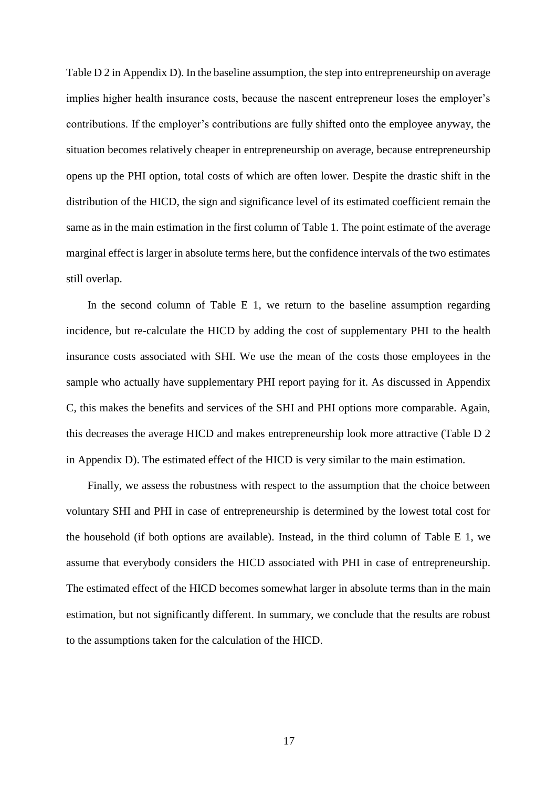Table D 2 in Appendix D). In the baseline assumption, the step into entrepreneurship on average implies higher health insurance costs, because the nascent entrepreneur loses the employer's contributions. If the employer's contributions are fully shifted onto the employee anyway, the situation becomes relatively cheaper in entrepreneurship on average, because entrepreneurship opens up the PHI option, total costs of which are often lower. Despite the drastic shift in the distribution of the HICD, the sign and significance level of its estimated coefficient remain the same as in the main estimation in the first column of Table 1. The point estimate of the average marginal effect is larger in absolute terms here, but the confidence intervals of the two estimates still overlap.

In the second column of Table E 1, we return to the baseline assumption regarding incidence, but re-calculate the HICD by adding the cost of supplementary PHI to the health insurance costs associated with SHI. We use the mean of the costs those employees in the sample who actually have supplementary PHI report paying for it. As discussed in Appendix C, this makes the benefits and services of the SHI and PHI options more comparable. Again, this decreases the average HICD and makes entrepreneurship look more attractive (Table D 2 in Appendix D). The estimated effect of the HICD is very similar to the main estimation.

Finally, we assess the robustness with respect to the assumption that the choice between voluntary SHI and PHI in case of entrepreneurship is determined by the lowest total cost for the household (if both options are available). Instead, in the third column of Table E 1, we assume that everybody considers the HICD associated with PHI in case of entrepreneurship. The estimated effect of the HICD becomes somewhat larger in absolute terms than in the main estimation, but not significantly different. In summary, we conclude that the results are robust to the assumptions taken for the calculation of the HICD.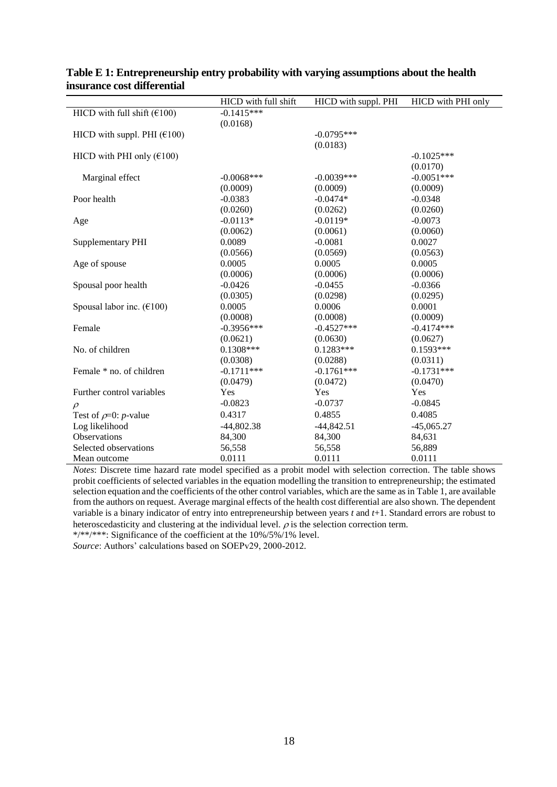|                                                  | HICD with full shift | HICD with suppl. PHI | HICD with PHI only |
|--------------------------------------------------|----------------------|----------------------|--------------------|
| HICD with full shift $(£100)$                    | $-0.1415***$         |                      |                    |
|                                                  | (0.0168)             |                      |                    |
| HICD with suppl. PHI $(\text{\textsterling}100)$ |                      | $-0.0795***$         |                    |
|                                                  |                      | (0.0183)             |                    |
| HICD with PHI only $(\text{\textsterling}100)$   |                      |                      | $-0.1025***$       |
|                                                  |                      |                      | (0.0170)           |
| Marginal effect                                  | $-0.0068$ ***        | $-0.0039***$         | $-0.0051***$       |
|                                                  | (0.0009)             | (0.0009)             | (0.0009)           |
| Poor health                                      | $-0.0383$            | $-0.0474*$           | $-0.0348$          |
|                                                  | (0.0260)             | (0.0262)             | (0.0260)           |
| Age                                              | $-0.0113*$           | $-0.0119*$           | $-0.0073$          |
|                                                  | (0.0062)             | (0.0061)             | (0.0060)           |
| Supplementary PHI                                | 0.0089               | $-0.0081$            | 0.0027             |
|                                                  | (0.0566)             | (0.0569)             | (0.0563)           |
| Age of spouse                                    | 0.0005               | 0.0005               | 0.0005             |
|                                                  | (0.0006)             | (0.0006)             | (0.0006)           |
| Spousal poor health                              | $-0.0426$            | $-0.0455$            | $-0.0366$          |
|                                                  | (0.0305)             | (0.0298)             | (0.0295)           |
| Spousal labor inc. $(\text{\textsterling}100)$   | 0.0005               | 0.0006               | 0.0001             |
|                                                  | (0.0008)             | (0.0008)             | (0.0009)           |
| Female                                           | $-0.3956***$         | $-0.4527***$         | $-0.4174***$       |
|                                                  | (0.0621)             | (0.0630)             | (0.0627)           |
| No. of children                                  | $0.1308***$          | $0.1283***$          | $0.1593***$        |
|                                                  | (0.0308)             | (0.0288)             | (0.0311)           |
| Female * no. of children                         | $-0.1711***$         | $-0.1761***$         | $-0.1731***$       |
|                                                  | (0.0479)             | (0.0472)             | (0.0470)           |
| Further control variables                        | Yes                  | Yes                  | Yes                |
| $\rho$                                           | $-0.0823$            | $-0.0737$            | $-0.0845$          |
| Test of $\rho$ =0: <i>p</i> -value               | 0.4317               | 0.4855               | 0.4085             |
| Log likelihood                                   | $-44,802.38$         | $-44,842.51$         | $-45,065.27$       |
| Observations                                     | 84,300               | 84,300               | 84,631             |
| Selected observations                            | 56,558               | 56,558               | 56,889             |
| Mean outcome                                     | 0.0111               | 0.0111               | 0.0111             |

### **Table E 1: Entrepreneurship entry probability with varying assumptions about the health insurance cost differential**

*Notes*: Discrete time hazard rate model specified as a probit model with selection correction. The table shows probit coefficients of selected variables in the equation modelling the transition to entrepreneurship; the estimated selection equation and the coefficients of the other control variables, which are the same as in Table 1, are available from the authors on request. Average marginal effects of the health cost differential are also shown. The dependent variable is a binary indicator of entry into entrepreneurship between years *t* and *t*+1. Standard errors are robust to heteroscedasticity and clustering at the individual level.  $\rho$  is the selection correction term.

\*/\*\*/\*\*\*: Significance of the coefficient at the 10%/5%/1% level.

*Source*: Authors' calculations based on SOEPv29, 2000-2012.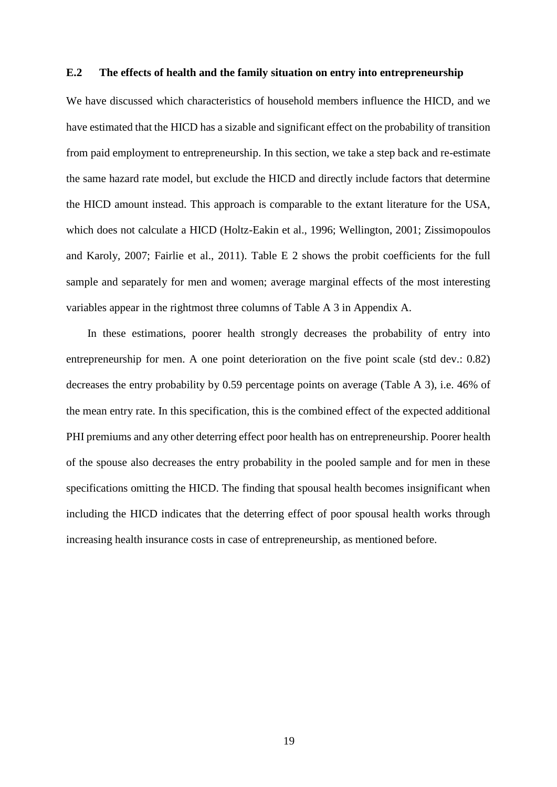### **E.2 The effects of health and the family situation on entry into entrepreneurship**

We have discussed which characteristics of household members influence the HICD, and we have estimated that the HICD has a sizable and significant effect on the probability of transition from paid employment to entrepreneurship. In this section, we take a step back and re-estimate the same hazard rate model, but exclude the HICD and directly include factors that determine the HICD amount instead. This approach is comparable to the extant literature for the USA, which does not calculate a HICD (Holtz-Eakin et al., 1996; Wellington, 2001; Zissimopoulos and Karoly, 2007; Fairlie et al., 2011). Table E 2 shows the probit coefficients for the full sample and separately for men and women; average marginal effects of the most interesting variables appear in the rightmost three columns of Table A 3 in Appendix A.

In these estimations, poorer health strongly decreases the probability of entry into entrepreneurship for men. A one point deterioration on the five point scale (std dev.: 0.82) decreases the entry probability by 0.59 percentage points on average (Table A 3), i.e. 46% of the mean entry rate. In this specification, this is the combined effect of the expected additional PHI premiums and any other deterring effect poor health has on entrepreneurship. Poorer health of the spouse also decreases the entry probability in the pooled sample and for men in these specifications omitting the HICD. The finding that spousal health becomes insignificant when including the HICD indicates that the deterring effect of poor spousal health works through increasing health insurance costs in case of entrepreneurship, as mentioned before.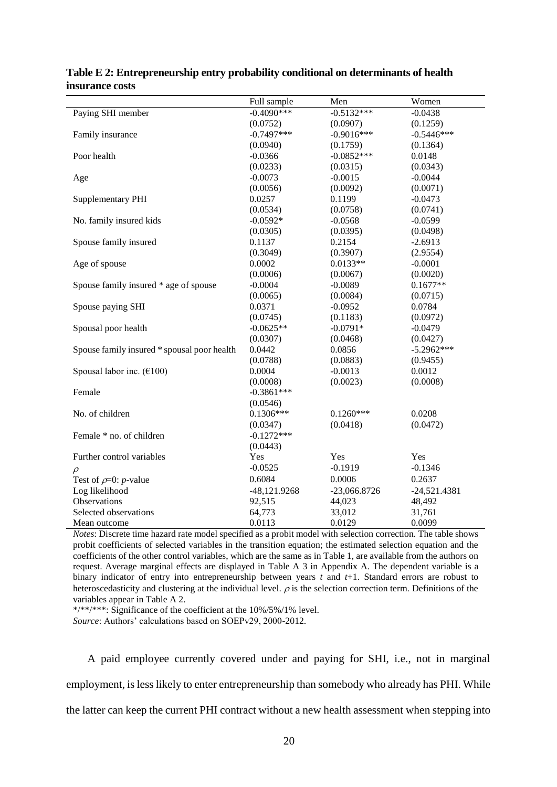|                                                | Full sample    | Men            | Women          |
|------------------------------------------------|----------------|----------------|----------------|
| Paying SHI member                              | $-0.4090***$   | $-0.5132***$   | $-0.0438$      |
|                                                | (0.0752)       | (0.0907)       | (0.1259)       |
| Family insurance                               | $-0.7497***$   | $-0.9016***$   | $-0.5446***$   |
|                                                | (0.0940)       | (0.1759)       | (0.1364)       |
| Poor health                                    | $-0.0366$      | $-0.0852***$   | 0.0148         |
|                                                | (0.0233)       | (0.0315)       | (0.0343)       |
| Age                                            | $-0.0073$      | $-0.0015$      | $-0.0044$      |
|                                                | (0.0056)       | (0.0092)       | (0.0071)       |
| Supplementary PHI                              | 0.0257         | 0.1199         | $-0.0473$      |
|                                                | (0.0534)       | (0.0758)       | (0.0741)       |
| No. family insured kids                        | $-0.0592*$     | $-0.0568$      | $-0.0599$      |
|                                                | (0.0305)       | (0.0395)       | (0.0498)       |
| Spouse family insured                          | 0.1137         | 0.2154         | $-2.6913$      |
|                                                | (0.3049)       | (0.3907)       | (2.9554)       |
| Age of spouse                                  | 0.0002         | $0.0133**$     | $-0.0001$      |
|                                                | (0.0006)       | (0.0067)       | (0.0020)       |
| Spouse family insured * age of spouse          | $-0.0004$      | $-0.0089$      | $0.1677**$     |
|                                                | (0.0065)       | (0.0084)       | (0.0715)       |
| Spouse paying SHI                              | 0.0371         | $-0.0952$      | 0.0784         |
|                                                | (0.0745)       | (0.1183)       | (0.0972)       |
| Spousal poor health                            | $-0.0625**$    | $-0.0791*$     | $-0.0479$      |
|                                                | (0.0307)       | (0.0468)       | (0.0427)       |
| Spouse family insured * spousal poor health    | 0.0442         | 0.0856         | $-5.2962***$   |
|                                                | (0.0788)       | (0.0883)       | (0.9455)       |
| Spousal labor inc. $(\text{\textsterling}100)$ | 0.0004         | $-0.0013$      | 0.0012         |
|                                                | (0.0008)       | (0.0023)       | (0.0008)       |
| Female                                         | $-0.3861***$   |                |                |
|                                                | (0.0546)       |                |                |
| No. of children                                | $0.1306***$    | $0.1260***$    | 0.0208         |
|                                                | (0.0347)       | (0.0418)       | (0.0472)       |
| Female * no. of children                       | $-0.1272***$   |                |                |
|                                                | (0.0443)       |                |                |
| Further control variables                      | Yes            | Yes            | Yes            |
| $\rho$                                         | $-0.0525$      | $-0.1919$      | $-0.1346$      |
| Test of $\rho$ =0: <i>p</i> -value             | 0.6084         | 0.0006         | 0.2637         |
| Log likelihood                                 | $-48,121.9268$ | $-23,066.8726$ | $-24,521.4381$ |
| Observations                                   | 92,515         | 44,023         | 48,492         |
| Selected observations                          | 64,773         | 33,012         | 31,761         |
| Mean outcome                                   | 0.0113         | 0.0129         | 0.0099         |

| Table E 2: Entrepreneurship entry probability conditional on determinants of health |  |
|-------------------------------------------------------------------------------------|--|
| insurance costs                                                                     |  |

*Notes*: Discrete time hazard rate model specified as a probit model with selection correction. The table shows probit coefficients of selected variables in the transition equation; the estimated selection equation and the coefficients of the other control variables, which are the same as in Table 1, are available from the authors on request. Average marginal effects are displayed in Table A 3 in Appendix A. The dependent variable is a binary indicator of entry into entrepreneurship between years *t* and *t*+1. Standard errors are robust to heteroscedasticity and clustering at the individual level.  $\rho$  is the selection correction term. Definitions of the variables appear in Table A 2.

\*/\*\*/\*\*\*: Significance of the coefficient at the 10%/5%/1% level. *Source*: Authors' calculations based on SOEPv29, 2000-2012.

A paid employee currently covered under and paying for SHI, i.e., not in marginal

employment, is less likely to enter entrepreneurship than somebody who already has PHI. While the latter can keep the current PHI contract without a new health assessment when stepping into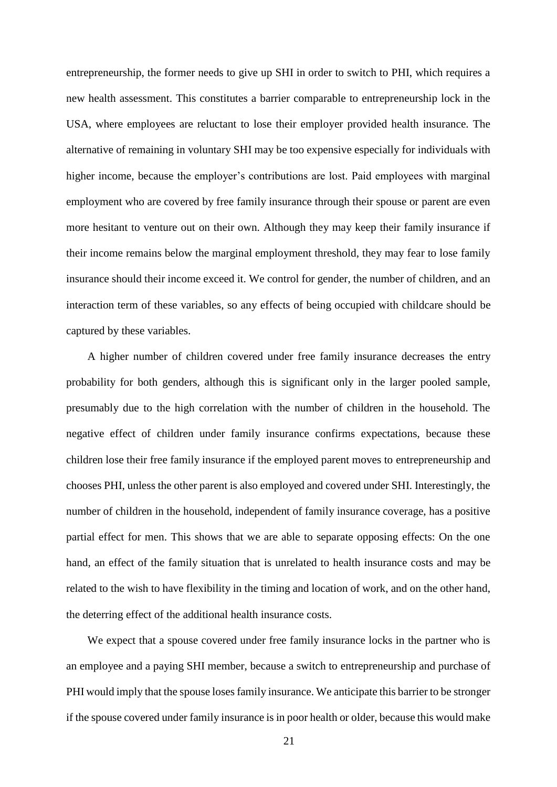entrepreneurship, the former needs to give up SHI in order to switch to PHI, which requires a new health assessment. This constitutes a barrier comparable to entrepreneurship lock in the USA, where employees are reluctant to lose their employer provided health insurance. The alternative of remaining in voluntary SHI may be too expensive especially for individuals with higher income, because the employer's contributions are lost. Paid employees with marginal employment who are covered by free family insurance through their spouse or parent are even more hesitant to venture out on their own. Although they may keep their family insurance if their income remains below the marginal employment threshold, they may fear to lose family insurance should their income exceed it. We control for gender, the number of children, and an interaction term of these variables, so any effects of being occupied with childcare should be captured by these variables.

A higher number of children covered under free family insurance decreases the entry probability for both genders, although this is significant only in the larger pooled sample, presumably due to the high correlation with the number of children in the household. The negative effect of children under family insurance confirms expectations, because these children lose their free family insurance if the employed parent moves to entrepreneurship and chooses PHI, unless the other parent is also employed and covered under SHI. Interestingly, the number of children in the household, independent of family insurance coverage, has a positive partial effect for men. This shows that we are able to separate opposing effects: On the one hand, an effect of the family situation that is unrelated to health insurance costs and may be related to the wish to have flexibility in the timing and location of work, and on the other hand, the deterring effect of the additional health insurance costs.

We expect that a spouse covered under free family insurance locks in the partner who is an employee and a paying SHI member, because a switch to entrepreneurship and purchase of PHI would imply that the spouse loses family insurance. We anticipate this barrier to be stronger if the spouse covered under family insurance is in poor health or older, because this would make